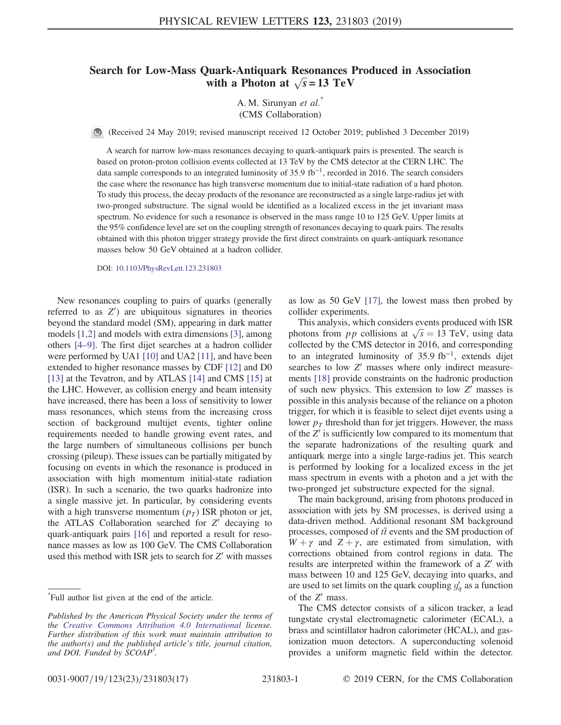## Search for Low-Mass Quark-Antiquark Resonances Produced in Association with a Photon at  $\sqrt{s} = 13 \text{ TeV}$

A. M. Sirunyan et al.<sup>\*</sup> (CMS Collaboration)

(Received 24 May 2019; revised manuscript received 12 October 2019; published 3 December 2019)

A search for narrow low-mass resonances decaying to quark-antiquark pairs is presented. The search is based on proton-proton collision events collected at 13 TeV by the CMS detector at the CERN LHC. The data sample corresponds to an integrated luminosity of 35.9 fb<sup>-1</sup>, recorded in 2016. The search considers the case where the resonance has high transverse momentum due to initial-state radiation of a hard photon. To study this process, the decay products of the resonance are reconstructed as a single large-radius jet with two-pronged substructure. The signal would be identified as a localized excess in the jet invariant mass spectrum. No evidence for such a resonance is observed in the mass range 10 to 125 GeV. Upper limits at the 95% confidence level are set on the coupling strength of resonances decaying to quark pairs. The results obtained with this photon trigger strategy provide the first direct constraints on quark-antiquark resonance masses below 50 GeV obtained at a hadron collider.

DOI: [10.1103/PhysRevLett.123.231803](https://doi.org/10.1103/PhysRevLett.123.231803)

New resonances coupling to pairs of quarks (generally referred to as  $Z'$ ) are ubiquitous signatures in theories<br>beyond the standard model (SM), appearing in dark matter beyond the standard model (SM), appearing in dark matter models [\[1,2\]](#page-4-0) and models with extra dimensions [\[3\]](#page-4-1), among others [4–[9\].](#page-4-2) The first dijet searches at a hadron collider were performed by UA1 [\[10\]](#page-4-3) and UA2 [\[11\],](#page-4-4) and have been extended to higher resonance masses by CDF [\[12\]](#page-4-5) and D0 [\[13\]](#page-4-6) at the Tevatron, and by ATLAS [\[14\]](#page-4-7) and CMS [\[15\]](#page-4-8) at the LHC. However, as collision energy and beam intensity have increased, there has been a loss of sensitivity to lower mass resonances, which stems from the increasing cross section of background multijet events, tighter online requirements needed to handle growing event rates, and the large numbers of simultaneous collisions per bunch crossing (pileup). These issues can be partially mitigated by focusing on events in which the resonance is produced in association with high momentum initial-state radiation (ISR). In such a scenario, the two quarks hadronize into a single massive jet. In particular, by considering events with a high transverse momentum  $(p_T)$  ISR photon or jet, the ATLAS Collaboration searched for  $Z'$  decaying to quark-antiquark pairs [\[16\]](#page-4-9) and reported a result for resonance masses as low as 100 GeV. The CMS Collaboration used this method with ISR jets to search for  $Z'$  with masses

\* Full author list given at the end of the article.

as low as 50 GeV [\[17\]](#page-4-10), the lowest mass then probed by collider experiments.

This analysis, which considers events produced with ISR photons from pp collisions at  $\sqrt{s} = 13$  TeV, using data<br>collected by the CMS detector in 2016, and corresponding collected by the CMS detector in 2016, and corresponding to an integrated luminosity of 35.9 fb<sup>-1</sup>, extends dijet searches to low  $Z'$  masses where only indirect measurements [\[18\]](#page-4-11) provide constraints on the hadronic production of such new physics. This extension to low  $Z'$  masses is possible in this analysis because of the reliance on a photon trigger, for which it is feasible to select dijet events using a lower  $p_T$  threshold than for jet triggers. However, the mass of the  $Z'$  is sufficiently low compared to its momentum that the separate hadronizations of the resulting quark and antiquark merge into a single large-radius jet. This search is performed by looking for a localized excess in the jet mass spectrum in events with a photon and a jet with the two-pronged jet substructure expected for the signal.

The main background, arising from photons produced in association with jets by SM processes, is derived using a data-driven method. Additional resonant SM background processes, composed of  $t\bar{t}$  events and the SM production of  $W + \gamma$  and  $Z + \gamma$ , are estimated from simulation, with corrections obtained from control regions in data. The results are interpreted within the framework of a  $Z'$  with mass between 10 and 125 GeV, decaying into quarks, and are used to set limits on the quark coupling  $g'_q$  as a function<br>of the  $Z'$  mass of the  $Z'$  mass.

The CMS detector consists of a silicon tracker, a lead tungstate crystal electromagnetic calorimeter (ECAL), a brass and scintillator hadron calorimeter (HCAL), and gasionization muon detectors. A superconducting solenoid provides a uniform magnetic field within the detector.

Published by the American Physical Society under the terms of the [Creative Commons Attribution 4.0 International](https://creativecommons.org/licenses/by/4.0/) license. Further distribution of this work must maintain attribution to the author(s) and the published article's title, journal citation, and DOI. Funded by SCOAP<sup>3</sup>.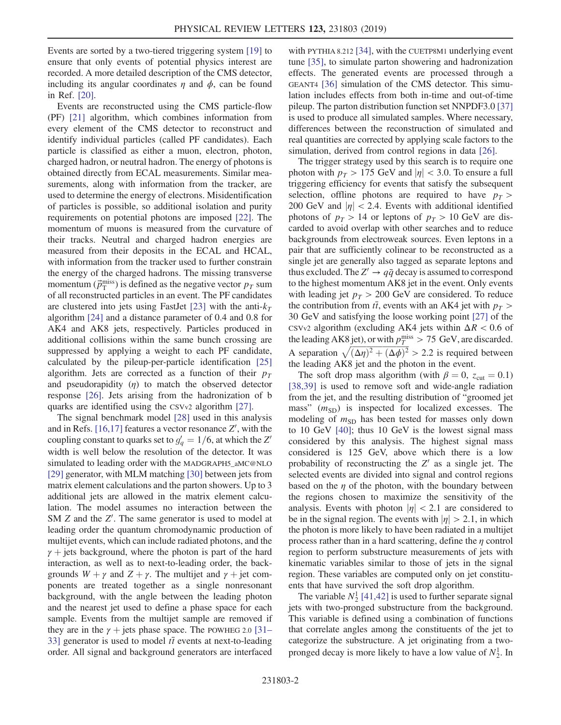Events are sorted by a two-tiered triggering system [\[19\]](#page-4-12) to ensure that only events of potential physics interest are recorded. A more detailed description of the CMS detector, including its angular coordinates  $\eta$  and  $\phi$ , can be found in Ref. [\[20\]](#page-4-13).

Events are reconstructed using the CMS particle-flow (PF) [\[21\]](#page-4-14) algorithm, which combines information from every element of the CMS detector to reconstruct and identify individual particles (called PF candidates). Each particle is classified as either a muon, electron, photon, charged hadron, or neutral hadron. The energy of photons is obtained directly from ECAL measurements. Similar measurements, along with information from the tracker, are used to determine the energy of electrons. Misidentification of particles is possible, so additional isolation and purity requirements on potential photons are imposed [\[22\]](#page-4-15). The momentum of muons is measured from the curvature of their tracks. Neutral and charged hadron energies are measured from their deposits in the ECAL and HCAL, with information from the tracker used to further constrain the energy of the charged hadrons. The missing transverse momentum  $(\vec{p}_{\text{T}}^{\text{miss}})$  is defined as the negative vector  $p_{T}$  sum<br>of all reconstructed particles in an event. The PE candidates of all reconstructed particles in an event. The PF candidates are clustered into jets using FastJet [\[23\]](#page-5-0) with the anti- $k_T$ algorithm [\[24\]](#page-5-1) and a distance parameter of 0.4 and 0.8 for AK4 and AK8 jets, respectively. Particles produced in additional collisions within the same bunch crossing are suppressed by applying a weight to each PF candidate, calculated by the pileup-per-particle identification [\[25\]](#page-5-2) algorithm. Jets are corrected as a function of their  $p_T$ and pseudorapidity  $(\eta)$  to match the observed detector response [\[26\].](#page-5-3) Jets arising from the hadronization of b quarks are identified using the CSVv2 algorithm [\[27\].](#page-5-4)

The signal benchmark model [\[28\]](#page-5-5) used in this analysis and in Refs. [\[16,17\]](#page-4-9) features a vector resonance Z', with the coupling constant to quarks set to  $d' = 1/6$  at which the Z' coupling constant to quarks set to  $g'_q = 1/6$ , at which the Z' width is well below the resolution of the detector. It was simulated to leading order with the MADGRAPH5\_aMC@NLO [\[29\]](#page-5-6) generator, with MLM matching [\[30\]](#page-5-7) between jets from matrix element calculations and the parton showers. Up to 3 additional jets are allowed in the matrix element calculation. The model assumes no interaction between the SM  $Z$  and the  $Z'$ . The same generator is used to model at leading order the quantum chromodynamic production of leading order the quantum chromodynamic production of multijet events, which can include radiated photons, and the  $\gamma$  + jets background, where the photon is part of the hard interaction, as well as to next-to-leading order, the backgrounds  $W + \gamma$  and  $Z + \gamma$ . The multijet and  $\gamma$  + jet components are treated together as a single nonresonant background, with the angle between the leading photon and the nearest jet used to define a phase space for each sample. Events from the multijet sample are removed if they are in the  $\gamma$  + jets phase space. The POWHEG 2.0 [\[31](#page-5-8)– [33\]](#page-5-8) generator is used to model  $t\bar{t}$  events at next-to-leading order. All signal and background generators are interfaced with PYTHIA 8.212 [\[34\]](#page-5-9), with the CUETP8M1 underlying event tune [\[35\]](#page-5-10), to simulate parton showering and hadronization effects. The generated events are processed through a GEANT4 [\[36\]](#page-5-11) simulation of the CMS detector. This simulation includes effects from both in-time and out-of-time pileup. The parton distribution function set NNPDF3.0 [\[37\]](#page-5-12) is used to produce all simulated samples. Where necessary, differences between the reconstruction of simulated and real quantities are corrected by applying scale factors to the simulation, derived from control regions in data [\[26\]](#page-5-3).

The trigger strategy used by this search is to require one photon with  $p_T > 175$  GeV and  $|\eta| < 3.0$ . To ensure a full triggering efficiency for events that satisfy the subsequent selection, offline photons are required to have  $p_T >$ 200 GeV and  $|\eta|$  < 2.4. Events with additional identified photons of  $p_T > 14$  or leptons of  $p_T > 10$  GeV are discarded to avoid overlap with other searches and to reduce backgrounds from electroweak sources. Even leptons in a pair that are sufficiently colinear to be reconstructed as a single jet are generally also tagged as separate leptons and thus excluded. The  $Z' \rightarrow q\bar{q}$  decay is assumed to correspond to the highest momentum AK8 jet in the event. Only events with leading jet  $p_T > 200$  GeV are considered. To reduce the contribution from  $t\bar{t}$ , events with an AK4 jet with  $p_T >$ 30 GeV and satisfying the loose working point [\[27\]](#page-5-4) of the CSVv2 algorithm (excluding AK4 jets within  $\Delta R < 0.6$  of the leading AK8 jet), or with  $p_T^{\text{miss}} > 75 \text{ GeV}$ , are discarded. A separation  $\sqrt{(\Delta \eta)^2 + (\Delta \phi)^2} > 2.2$  is required between the leading AK8 jet and the photon in the event the leading AK8 jet and the photon in the event.

The soft drop mass algorithm (with  $\beta = 0$ ,  $z_{\text{cut}} = 0.1$ ) [\[38,39\]](#page-5-13) is used to remove soft and wide-angle radiation from the jet, and the resulting distribution of "groomed jet mass"  $(m_{SD})$  is inspected for localized excesses. The modeling of  $m_{SD}$  has been tested for masses only down to 10 GeV [\[40\];](#page-5-14) thus 10 GeV is the lowest signal mass considered by this analysis. The highest signal mass considered is 125 GeV, above which there is a low probability of reconstructing the  $Z<sup>t</sup>$  as a single jet. The selected events are divided into signal and control regions based on the  $\eta$  of the photon, with the boundary between the regions chosen to maximize the sensitivity of the analysis. Events with photon  $|\eta| < 2.1$  are considered to be in the signal region. The events with  $|\eta| > 2.1$ , in which the photon is more likely to have been radiated in a multijet process rather than in a hard scattering, define the  $\eta$  control region to perform substructure measurements of jets with kinematic variables similar to those of jets in the signal region. These variables are computed only on jet constituents that have survived the soft drop algorithm.

The variable  $N_2^1$  [\[41,42\]](#page-5-15) is used to further separate signal<br>s with two-proposed substructure from the background jets with two-pronged substructure from the background. This variable is defined using a combination of functions that correlate angles among the constituents of the jet to categorize the substructure. A jet originating from a twopronged decay is more likely to have a low value of  $N_2^1$ . In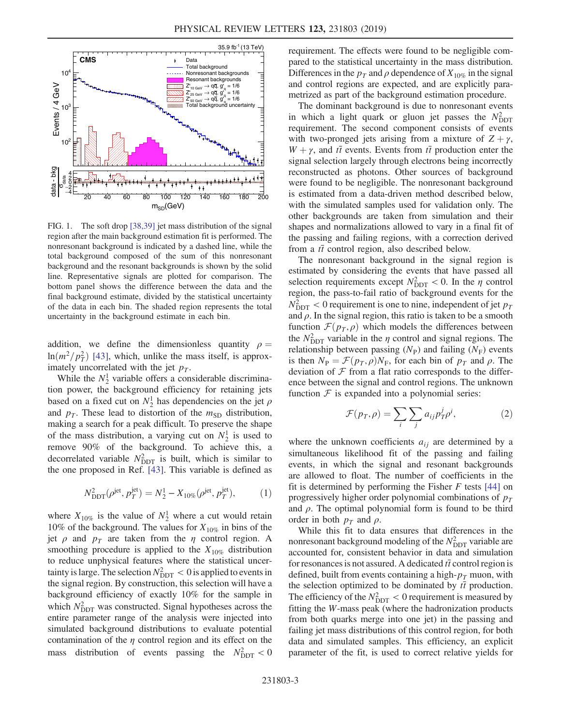<span id="page-2-0"></span>

FIG. 1. The soft drop [\[38,39\]](#page-5-13) jet mass distribution of the signal region after the main background estimation fit is performed. The nonresonant background is indicated by a dashed line, while the total background composed of the sum of this nonresonant background and the resonant backgrounds is shown by the solid line. Representative signals are plotted for comparison. The bottom panel shows the difference between the data and the final background estimate, divided by the statistical uncertainty of the data in each bin. The shaded region represents the total uncertainty in the background estimate in each bin.

addition, we define the dimensionless quantity  $\rho =$  $\ln(m^2/p_T^2)$  [\[43\]](#page-5-16), which, unlike the mass itself, is approx-<br>imately uncorrelated with the jet  $p_T$ imately uncorrelated with the jet  $p_T$ .

While the  $N_2^1$  variable offers a considerable discrimina-<br>n power, the background efficiency for retaining jets tion power, the background efficiency for retaining jets based on a fixed cut on  $N_2^1$  has dependencies on the jet  $\rho$ <br>and  $p_x$ . These lead to distortion of the  $m_{2x}$  distribution and  $p_T$ . These lead to distortion of the  $m_{SD}$  distribution, making a search for a peak difficult. To preserve the shape of the mass distribution, a varying cut on  $N_2^1$  is used to remove 90% of the background. To achieve this remove 90% of the background. To achieve this, a decorrelated variable  $N_{\text{DDT}}^2$  is built, which is similar to the one proposed in Ref [43]. This variable is defined as the one proposed in Ref. [\[43\].](#page-5-16) This variable is defined as

$$
N_{\text{DDT}}^2(\rho^{\text{jet}}, p_T^{\text{jet}}) = N_2^1 - X_{10\%}(\rho^{\text{jet}}, p_T^{\text{jet}}),\tag{1}
$$

where  $X_{10\%}$  is the value of  $N_2^1$  where a cut would retain  $10\%$  of the background. The values for  $X_{10\%}$  in bins of the 10% of the background. The values for  $X_{10\%}$  in bins of the jet  $\rho$  and  $p_T$  are taken from the  $\eta$  control region. A smoothing procedure is applied to the  $X_{10\%}$  distribution to reduce unphysical features where the statistical uncertainty is large. The selection  $N_{\text{DDT}}^2 < 0$  is applied to events in the signal region. By construction, this selection will have a the signal region. By construction, this selection will have a background efficiency of exactly 10% for the sample in which  $N_{\text{DDT}}^2$  was constructed. Signal hypotheses across the entire parameter range of the analysis were injected into entire parameter range of the analysis were injected into simulated background distributions to evaluate potential contamination of the  $\eta$  control region and its effect on the mass distribution of events passing the  $N_{\text{DDT}}^2 < 0$  requirement. The effects were found to be negligible compared to the statistical uncertainty in the mass distribution. Differences in the  $p_T$  and  $\rho$  dependence of  $X_{10\%}$  in the signal and control regions are expected, and are explicitly parametrized as part of the background estimation procedure.

The dominant background is due to nonresonant events in which a light quark or gluon jet passes the  $N_{\text{DDT}}^2$ <br>requirement. The second component consists of events requirement. The second component consists of events with two-pronged jets arising from a mixture of  $Z + \gamma$ ,  $W + \gamma$ , and  $t\bar{t}$  events. Events from  $t\bar{t}$  production enter the signal selection largely through electrons being incorrectly reconstructed as photons. Other sources of background were found to be negligible. The nonresonant background is estimated from a data-driven method described below, with the simulated samples used for validation only. The other backgrounds are taken from simulation and their shapes and normalizations allowed to vary in a final fit of the passing and failing regions, with a correction derived from a  $t\bar{t}$  control region, also described below.

The nonresonant background in the signal region is estimated by considering the events that have passed all selection requirements except  $N_{\text{DDT}}^2 < 0$ . In the  $\eta$  control<br>region, the pass-to-fail ratio of background events for the region, the pass-to-fail ratio of background events for the  $N_{\text{DDT}}^2$  < 0 requirement is one to nine, independent of jet  $p_T$ <br>and a In the signal region, this ratio is taken to be a smooth and  $\rho$ . In the signal region, this ratio is taken to be a smooth function  $\mathcal{F}(p_T, \rho)$  which models the differences between the  $N_{\text{DDT}}^2$  variable in the  $\eta$  control and signal regions. The relationship between passing  $(N_{\text{c}})$  and failing  $(N_{\text{c}})$  events relationship between passing  $(N_P)$  and failing  $(N_F)$  events is then  $N_P = \mathcal{F}(p_T, \rho)N_F$ , for each bin of  $p_T$  and  $\rho$ . The deviation of  $F$  from a flat ratio corresponds to the difference between the signal and control regions. The unknown function  $F$  is expanded into a polynomial series:

$$
\mathcal{F}(p_T,\rho) = \sum_i \sum_j a_{ij} p_T^j \rho^i,\tag{2}
$$

where the unknown coefficients  $a_{ij}$  are determined by a simultaneous likelihood fit of the passing and failing events, in which the signal and resonant backgrounds are allowed to float. The number of coefficients in the fit is determined by performing the Fisher  $F$  tests [\[44\]](#page-5-17) on progressively higher order polynomial combinations of  $p_T$ and  $\rho$ . The optimal polynomial form is found to be third order in both  $p_T$  and  $\rho$ .

While this fit to data ensures that differences in the nonresonant background modeling of the  $N_{\text{DDT}}^2$  variable are<br>accounted for consistent behavior in data and simulation accounted for, consistent behavior in data and simulation for resonances is not assured. A dedicated  $t\bar{t}$  control region is defined, built from events containing a high- $p<sub>T</sub>$  muon, with the selection optimized to be dominated by  $t\bar{t}$  production. The efficiency of the  $N_{\text{DDT}}^2 < 0$  requirement is measured by fitting the W-mass neak (where the hadronization products fitting the W-mass peak (where the hadronization products from both quarks merge into one jet) in the passing and failing jet mass distributions of this control region, for both data and simulated samples. This efficiency, an explicit parameter of the fit, is used to correct relative yields for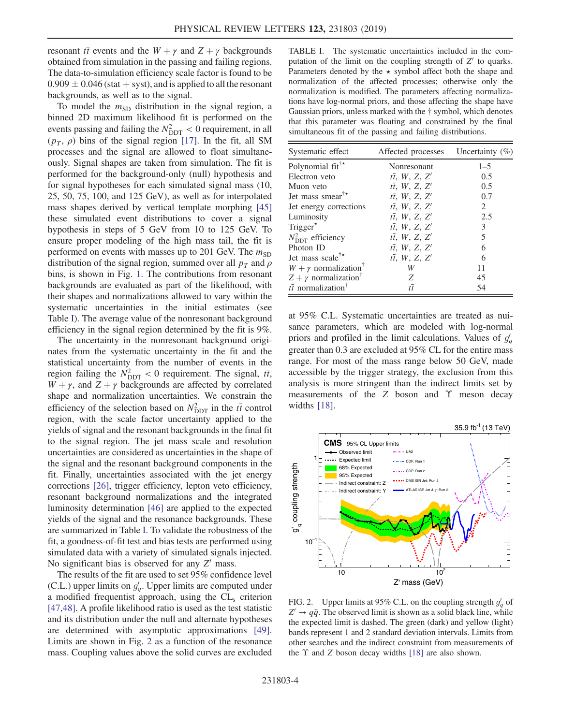resonant  $t\bar{t}$  events and the  $W + \gamma$  and  $Z + \gamma$  backgrounds obtained from simulation in the passing and failing regions. The data-to-simulation efficiency scale factor is found to be  $0.909 \pm 0.046$  (stat  $+$  syst), and is applied to all the resonant backgrounds, as well as to the signal.

To model the  $m_{SD}$  distribution in the signal region, a binned 2D maximum likelihood fit is performed on the events passing and failing the  $N_{\text{DDT}}^2 < 0$  requirement, in all  $(n_{\text{max}} - \rho)$  bins of the signal region [17]. In the fit all SM  $(p_T, \rho)$  bins of the signal region [\[17\]](#page-4-10). In the fit, all SM processes and the signal are allowed to float simultaneously. Signal shapes are taken from simulation. The fit is performed for the background-only (null) hypothesis and for signal hypotheses for each simulated signal mass (10, 25, 50, 75, 100, and 125 GeV), as well as for interpolated mass shapes derived by vertical template morphing [\[45\]](#page-5-18) these simulated event distributions to cover a signal hypothesis in steps of 5 GeV from 10 to 125 GeV. To ensure proper modeling of the high mass tail, the fit is performed on events with masses up to 201 GeV. The  $m_{SD}$ distribution of the signal region, summed over all  $p_T$  and  $\rho$ bins, is shown in Fig. [1.](#page-2-0) The contributions from resonant backgrounds are evaluated as part of the likelihood, with their shapes and normalizations allowed to vary within the systematic uncertainties in the initial estimates (see Table [I\)](#page-3-0). The average value of the nonresonant background efficiency in the signal region determined by the fit is 9%.

The uncertainty in the nonresonant background originates from the systematic uncertainty in the fit and the statistical uncertainty from the number of events in the region failing the  $N_{\text{DDT}}^2 < 0$  requirement. The signal,  $t\bar{t}$ ,  $W + \gamma$  and  $Z + \gamma$  backgrounds are affected by correlated  $W + \gamma$ , and  $Z + \gamma$  backgrounds are affected by correlated shape and normalization uncertainties. We constrain the efficiency of the selection based on  $N_{\text{DDT}}^2$  in the  $t\bar{t}$  control<br>region, with the scale factor uncertainty applied to the region, with the scale factor uncertainty applied to the yields of signal and the resonant backgrounds in the final fit to the signal region. The jet mass scale and resolution uncertainties are considered as uncertainties in the shape of the signal and the resonant background components in the fit. Finally, uncertainties associated with the jet energy corrections [\[26\]](#page-5-3), trigger efficiency, lepton veto efficiency, resonant background normalizations and the integrated luminosity determination [\[46\]](#page-5-19) are applied to the expected yields of the signal and the resonance backgrounds. These are summarized in Table [I](#page-3-0). To validate the robustness of the fit, a goodness-of-fit test and bias tests are performed using simulated data with a variety of simulated signals injected. No significant bias is observed for any  $Z'$  mass.

The results of the fit are used to set 95% confidence level (C.L.) upper limits on  $g'_q$ . Upper limits are computed under<br>a modified frequentist approach using the CI criterion a modified frequentist approach, using the CL<sub>s</sub> criterion [\[47,48\]](#page-5-20). A profile likelihood ratio is used as the test statistic and its distribution under the null and alternate hypotheses are determined with asymptotic approximations [\[49\]](#page-5-21). Limits are shown in Fig. [2](#page-3-1) as a function of the resonance mass. Coupling values above the solid curves are excluded

<span id="page-3-0"></span>TABLE I. The systematic uncertainties included in the computation of the limit on the coupling strength of  $Z'$  to quarks. Parameters denoted by the  $\star$  symbol affect both the shape and normalization of the affected processes; otherwise only the normalization is modified. The parameters affecting normalizations have log-normal priors, and those affecting the shape have Gaussian priors, unless marked with the † symbol, which denotes that this parameter was floating and constrained by the final simultaneous fit of the passing and failing distributions.

| Systematic effect                       | Affected processes         | Uncertainty $(\%)$ |
|-----------------------------------------|----------------------------|--------------------|
| Polynomial fit <sup>†*</sup>            | Nonresonant                | $1 - 5$            |
| Electron veto                           | $t\overline{t}$ , W, Z, Z' | 0.5                |
| Muon veto                               | $t\overline{t}$ , W, Z, Z' | 0.5                |
| Jet mass smear <sup>†*</sup>            | $t\overline{t}$ , W, Z, Z' | 0.7                |
| Jet energy corrections                  | $t\overline{t}$ , W, Z, Z' | 2                  |
| Luminosity                              | $t\overline{t}$ , W, Z, Z' | 2.5                |
| Trigger <sup>*</sup>                    | $t\overline{t}$ , W, Z, Z' | 3                  |
| $N_{\text{DDT}}^2$ efficiency           | $t\overline{t}$ , W, Z, Z' | 5                  |
| Photon ID                               | $t\overline{t}$ , W, Z, Z' | 6                  |
| Jet mass scale <sup>†*</sup>            | $t\overline{t}$ , W, Z, Z' | 6                  |
| $W + \gamma$ normalization <sup>†</sup> | W                          | 11                 |
| $Z + \gamma$ normalization <sup>†</sup> | Z                          | 45                 |
| $t\bar{t}$ normalization <sup>†</sup>   | $t\overline{t}$            | 54                 |

at 95% C.L. Systematic uncertainties are treated as nuisance parameters, which are modeled with log-normal priors and profiled in the limit calculations. Values of  $q_a$ greater than 0.3 are excluded at 95% CL for the entire mass range. For most of the mass range below 50 GeV, made accessible by the trigger strategy, the exclusion from this analysis is more stringent than the indirect limits set by measurements of the Z boson and  $\Upsilon$  meson decay widths [\[18\].](#page-4-11)

<span id="page-3-1"></span>

FIG. 2. Upper limits at 95% C.L. on the coupling strength  $g'_q$  of  $Z' \rightarrow a\bar{a}$ . The observed limit is shown as a solid black line, while  $Z' \rightarrow q\bar{q}$ . The observed limit is shown as a solid black line, while the expected limit is dashed. The green (dark) and yellow (light) bands represent 1 and 2 standard deviation intervals. Limits from other searches and the indirect constraint from measurements of the  $\Upsilon$  and Z boson decay widths [\[18\]](#page-4-11) are also shown.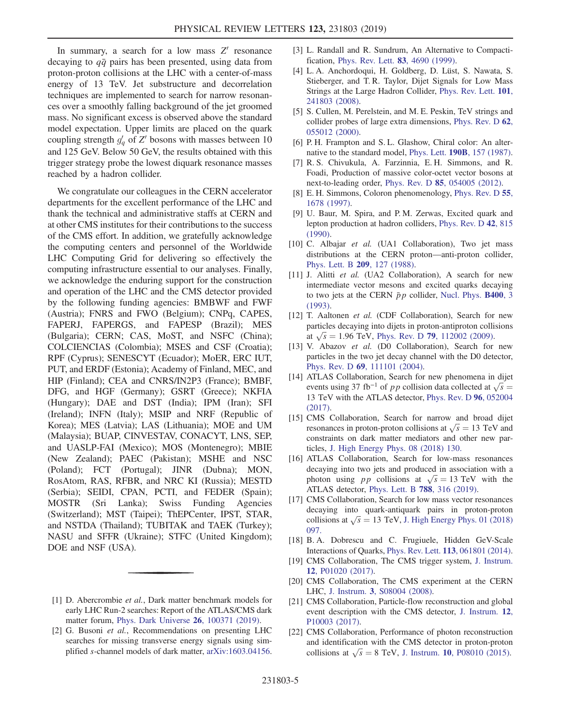In summary, a search for a low mass  $Z'$  resonance decaying to  $q\bar{q}$  pairs has been presented, using data from proton-proton collisions at the LHC with a center-of-mass energy of 13 TeV. Jet substructure and decorrelation techniques are implemented to search for narrow resonances over a smoothly falling background of the jet groomed mass. No significant excess is observed above the standard model expectation. Upper limits are placed on the quark coupling strength  $g'_q$  of Z' bosons with masses between 10<br>and 125 GeV. Below 50 GeV, the results obtained with this and 125 GeV. Below 50 GeV, the results obtained with this trigger strategy probe the lowest diquark resonance masses reached by a hadron collider.

We congratulate our colleagues in the CERN accelerator departments for the excellent performance of the LHC and thank the technical and administrative staffs at CERN and at other CMS institutes for their contributions to the success of the CMS effort. In addition, we gratefully acknowledge the computing centers and personnel of the Worldwide LHC Computing Grid for delivering so effectively the computing infrastructure essential to our analyses. Finally, we acknowledge the enduring support for the construction and operation of the LHC and the CMS detector provided by the following funding agencies: BMBWF and FWF (Austria); FNRS and FWO (Belgium); CNPq, CAPES, FAPERJ, FAPERGS, and FAPESP (Brazil); MES (Bulgaria); CERN; CAS, MoST, and NSFC (China); COLCIENCIAS (Colombia); MSES and CSF (Croatia); RPF (Cyprus); SENESCYT (Ecuador); MoER, ERC IUT, PUT, and ERDF (Estonia); Academy of Finland, MEC, and HIP (Finland); CEA and CNRS/IN2P3 (France); BMBF, DFG, and HGF (Germany); GSRT (Greece); NKFIA (Hungary); DAE and DST (India); IPM (Iran); SFI (Ireland); INFN (Italy); MSIP and NRF (Republic of Korea); MES (Latvia); LAS (Lithuania); MOE and UM (Malaysia); BUAP, CINVESTAV, CONACYT, LNS, SEP, and UASLP-FAI (Mexico); MOS (Montenegro); MBIE (New Zealand); PAEC (Pakistan); MSHE and NSC (Poland); FCT (Portugal); JINR (Dubna); MON, RosAtom, RAS, RFBR, and NRC KI (Russia); MESTD (Serbia); SEIDI, CPAN, PCTI, and FEDER (Spain); MOSTR (Sri Lanka); Swiss Funding Agencies (Switzerland); MST (Taipei); ThEPCenter, IPST, STAR, and NSTDA (Thailand); TUBITAK and TAEK (Turkey); NASU and SFFR (Ukraine); STFC (United Kingdom); DOE and NSF (USA).

- <span id="page-4-0"></span>[1] D. Abercrombie et al., Dark matter benchmark models for early LHC Run-2 searches: Report of the ATLAS/CMS dark matter forum, [Phys. Dark Universe](https://doi.org/10.1016/j.dark.2019.100371) 26, 100371 (2019).
- [2] G. Busoni et al., Recommendations on presenting LHC searches for missing transverse energy signals using simplified s-channel models of dark matter, [arXiv:1603.04156.](https://arXiv.org/abs/1603.04156)
- <span id="page-4-1"></span>[3] L. Randall and R. Sundrum, An Alternative to Compactification, [Phys. Rev. Lett.](https://doi.org/10.1103/PhysRevLett.83.4690) 83, 4690 (1999).
- <span id="page-4-2"></span>[4] L. A. Anchordoqui, H. Goldberg, D. Lüst, S. Nawata, S. Stieberger, and T. R. Taylor, Dijet Signals for Low Mass Strings at the Large Hadron Collider, [Phys. Rev. Lett.](https://doi.org/10.1103/PhysRevLett.101.241803) 101, [241803 \(2008\).](https://doi.org/10.1103/PhysRevLett.101.241803)
- [5] S. Cullen, M. Perelstein, and M. E. Peskin, TeV strings and collider probes of large extra dimensions, [Phys. Rev. D](https://doi.org/10.1103/PhysRevD.62.055012) 62, [055012 \(2000\).](https://doi.org/10.1103/PhysRevD.62.055012)
- [6] P. H. Frampton and S. L. Glashow, Chiral color: An alternative to the standard model, Phys. Lett. 190B[, 157 \(1987\).](https://doi.org/10.1016/0370-2693(87)90859-8)
- [7] R. S. Chivukula, A. Farzinnia, E. H. Simmons, and R. Foadi, Production of massive color-octet vector bosons at next-to-leading order, Phys. Rev. D 85[, 054005 \(2012\)](https://doi.org/10.1103/PhysRevD.85.054005).
- [8] E. H. Simmons, Coloron phenomenology, [Phys. Rev. D](https://doi.org/10.1103/PhysRevD.55.1678) 55, [1678 \(1997\)](https://doi.org/10.1103/PhysRevD.55.1678).
- [9] U. Baur, M. Spira, and P. M. Zerwas, Excited quark and lepton production at hadron colliders, [Phys. Rev. D](https://doi.org/10.1103/PhysRevD.42.815) 42, 815 [\(1990\).](https://doi.org/10.1103/PhysRevD.42.815)
- <span id="page-4-3"></span>[10] C. Albajar et al. (UA1 Collaboration), Two jet mass distributions at the CERN proton—anti-proton collider, [Phys. Lett. B](https://doi.org/10.1016/0370-2693(88)91843-6) 209, 127 (1988).
- <span id="page-4-4"></span>[11] J. Alitti et al. (UA2 Collaboration), A search for new intermediate vector mesons and excited quarks decaying to two jets at the CERN  $\bar{p}p$  collider, [Nucl. Phys.](https://doi.org/10.1016/0550-3213(93)90395-6) **B400**, 3 [\(1993\).](https://doi.org/10.1016/0550-3213(93)90395-6)
- <span id="page-4-5"></span>[12] T. Aaltonen et al. (CDF Collaboration), Search for new particles decaying into dijets in proton-antiproton collisions at  $\sqrt{s} = 1.96$  TeV, Phys. Rev. D 79[, 112002 \(2009\)](https://doi.org/10.1103/PhysRevD.79.112002).<br>V Abazov et al. (D0 Collaboration). Search for
- <span id="page-4-6"></span>[13] V. Abazov et al. (D0 Collaboration), Search for new particles in the two jet decay channel with the D0 detector, Phys. Rev. D 69[, 111101 \(2004\)](https://doi.org/10.1103/PhysRevD.69.111101).
- <span id="page-4-7"></span>[14] ATLAS Collaboration, Search for new phenomena in dijet events using 37 fb<sup>-1</sup> of *pp* collision data collected at  $\sqrt{s}$  = 13 TeV with the ATI AS detector Phys. Bey D 96 052004 13 TeV with the ATLAS detector, [Phys. Rev. D](https://doi.org/10.1103/PhysRevD.96.052004) 96, 052004 [\(2017\).](https://doi.org/10.1103/PhysRevD.96.052004)
- <span id="page-4-8"></span>[15] CMS Collaboration, Search for narrow and broad dijet resonances in proton-proton collisions at  $\sqrt{s} = 13$  TeV and<br>constraints on dark matter mediators and other new parconstraints on dark matter mediators and other new particles, [J. High Energy Phys. 08 \(2018\) 130.](https://doi.org/10.1007/JHEP08(2018)130)
- <span id="page-4-9"></span>[16] ATLAS Collaboration, Search for low-mass resonances decaying into two jets and produced in association with a photon using pp collisions at  $\sqrt{s} = 13$  TeV with the ATI AS detector Phys Lett B 788 316 (2019) ATLAS detector, [Phys. Lett. B](https://doi.org/10.1016/j.physletb.2018.09.062) 788, 316 (2019).
- <span id="page-4-10"></span>[17] CMS Collaboration, Search for low mass vector resonances decaying into quark-antiquark pairs in proton-proton collisions at  $\sqrt{s}$  = 13 TeV, [J. High Energy Phys. 01 \(2018\)](https://doi.org/10.1007/JHEP01(2018)097)<br>097 [097.](https://doi.org/10.1007/JHEP01(2018)097)
- <span id="page-4-12"></span><span id="page-4-11"></span>[18] B. A. Dobrescu and C. Frugiuele, Hidden GeV-Scale Interactions of Quarks, Phys. Rev. Lett. 113[, 061801 \(2014\).](https://doi.org/10.1103/PhysRevLett.113.061801)
- <span id="page-4-13"></span>[19] CMS Collaboration, The CMS trigger system, [J. Instrum.](https://doi.org/10.1088/1748-0221/12/01/P01020) 12[, P01020 \(2017\)](https://doi.org/10.1088/1748-0221/12/01/P01020).
- <span id="page-4-14"></span>[20] CMS Collaboration, The CMS experiment at the CERN LHC, J. Instrum. 3[, S08004 \(2008\).](https://doi.org/10.1088/1748-0221/3/08/S08004)
- [21] CMS Collaboration, Particle-flow reconstruction and global event description with the CMS detector, [J. Instrum.](https://doi.org/10.1088/1748-0221/12/10/P10003) 12, [P10003 \(2017\)](https://doi.org/10.1088/1748-0221/12/10/P10003).
- <span id="page-4-15"></span>[22] CMS Collaboration, Performance of photon reconstruction and identification with the CMS detector in proton-proton collisions at  $\sqrt{s} = 8$  TeV, J. Instrum. 10[, P08010 \(2015\)](https://doi.org/10.1088/1748-0221/10/08/P08010).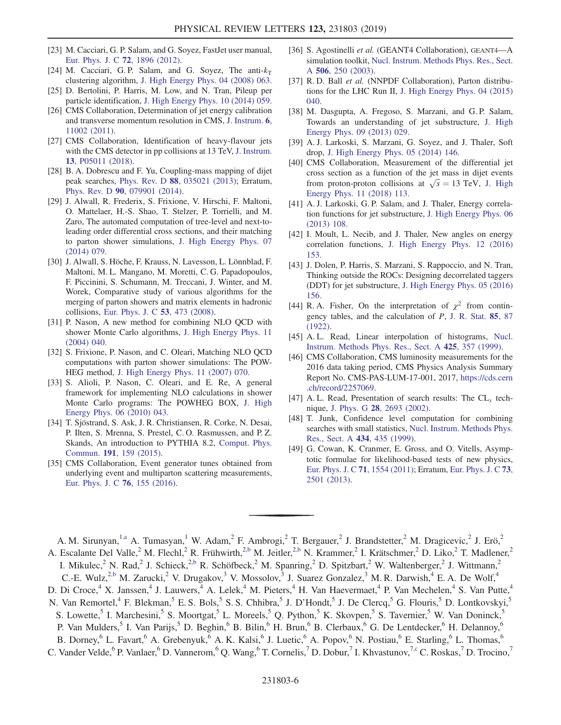- <span id="page-5-0"></span>[23] M. Cacciari, G. P. Salam, and G. Soyez, FastJet user manual, [Eur. Phys. J. C](https://doi.org/10.1140/epjc/s10052-012-1896-2) 72, 1896 (2012).
- <span id="page-5-1"></span>[24] M. Cacciari, G. P. Salam, and G. Soyez, The anti- $k_T$ clustering algorithm, [J. High Energy Phys. 04 \(2008\) 063.](https://doi.org/10.1088/1126-6708/2008/04/063)
- <span id="page-5-2"></span>[25] D. Bertolini, P. Harris, M. Low, and N. Tran, Pileup per particle identification, [J. High Energy Phys. 10 \(2014\) 059.](https://doi.org/10.1007/JHEP10(2014)059)
- <span id="page-5-3"></span>[26] CMS Collaboration, Determination of jet energy calibration and transverse momentum resolution in CMS, [J. Instrum.](https://doi.org/10.1088/1748-0221/6/11/P11002) 6, [11002 \(2011\).](https://doi.org/10.1088/1748-0221/6/11/P11002)
- <span id="page-5-4"></span>[27] CMS Collaboration, Identification of heavy-flavour jets with the CMS detector in pp collisions at 13 TeV, [J. Instrum.](https://doi.org/10.1088/1748-0221/13/05/P05011) [13](https://doi.org/10.1088/1748-0221/13/05/P05011)[, P05011 \(2018\)](https://doi.org/10.1088/1748-0221/13/05/P05011).
- <span id="page-5-5"></span>[28] B. A. Dobrescu and F. Yu, Coupling-mass mapping of dijet peak searches, Phys. Rev. D 88[, 035021 \(2013\);](https://doi.org/10.1103/PhysRevD.88.035021) Erratum, Phys. Rev. D 90[, 079901 \(2014\)](https://doi.org/10.1103/PhysRevD.90.079901).
- <span id="page-5-6"></span>[29] J. Alwall, R. Frederix, S. Frixione, V. Hirschi, F. Maltoni, O. Mattelaer, H.-S. Shao, T. Stelzer, P. Torrielli, and M. Zaro, The automated computation of tree-level and next-toleading order differential cross sections, and their matching to parton shower simulations, [J. High Energy Phys. 07](https://doi.org/10.1007/JHEP07(2014)079) [\(2014\) 079.](https://doi.org/10.1007/JHEP07(2014)079)
- <span id="page-5-7"></span>[30] J. Alwall, S. Höche, F. Krauss, N. Lavesson, L. Lönnblad, F. Maltoni, M. L. Mangano, M. Moretti, C. G. Papadopoulos, F. Piccinini, S. Schumann, M. Treccani, J. Winter, and M. Worek, Comparative study of various algorithms for the merging of parton showers and matrix elements in hadronic collisions, [Eur. Phys. J. C](https://doi.org/10.1140/epjc/s10052-007-0490-5) 53, 473 (2008).
- <span id="page-5-8"></span>[31] P. Nason, A new method for combining NLO QCD with shower Monte Carlo algorithms, [J. High Energy Phys. 11](https://doi.org/10.1088/1126-6708/2004/11/040) [\(2004\) 040.](https://doi.org/10.1088/1126-6708/2004/11/040)
- [32] S. Frixione, P. Nason, and C. Oleari, Matching NLO QCD computations with parton shower simulations: The POW-HEG method, [J. High Energy Phys. 11 \(2007\) 070.](https://doi.org/10.1088/1126-6708/2007/11/070)
- [33] S. Alioli, P. Nason, C. Oleari, and E. Re, A general framework for implementing NLO calculations in shower Monte Carlo programs: The POWHEG BOX, [J. High](https://doi.org/10.1007/JHEP06(2010)043) [Energy Phys. 06 \(2010\) 043.](https://doi.org/10.1007/JHEP06(2010)043)
- <span id="page-5-9"></span>[34] T. Sjöstrand, S. Ask, J. R. Christiansen, R. Corke, N. Desai, P. Ilten, S. Mrenna, S. Prestel, C. O. Rasmussen, and P. Z. Skands, An introduction to PYTHIA 8.2, [Comput. Phys.](https://doi.org/10.1016/j.cpc.2015.01.024) Commun. 191[, 159 \(2015\)](https://doi.org/10.1016/j.cpc.2015.01.024).
- <span id="page-5-10"></span>[35] CMS Collaboration, Event generator tunes obtained from underlying event and multiparton scattering measurements, [Eur. Phys. J. C](https://doi.org/10.1140/epjc/s10052-016-3988-x) 76, 155 (2016).
- <span id="page-5-11"></span>[36] S. Agostinelli et al. (GEANT4 Collaboration), GEANT4---A simulation toolkit, [Nucl. Instrum. Methods Phys. Res., Sect.](https://doi.org/10.1016/S0168-9002(03)01368-8) A 506[, 250 \(2003\).](https://doi.org/10.1016/S0168-9002(03)01368-8)
- <span id="page-5-12"></span>[37] R. D. Ball et al. (NNPDF Collaboration), Parton distributions for the LHC Run II, [J. High Energy Phys. 04 \(2015\)](https://doi.org/10.1007/JHEP04(2015)040) [040.](https://doi.org/10.1007/JHEP04(2015)040)
- <span id="page-5-13"></span>[38] M. Dasgupta, A. Fregoso, S. Marzani, and G.P. Salam, Towards an understanding of jet substructure, [J. High](https://doi.org/10.1007/JHEP09(2013)029) [Energy Phys. 09 \(2013\) 029.](https://doi.org/10.1007/JHEP09(2013)029)
- [39] A. J. Larkoski, S. Marzani, G. Soyez, and J. Thaler, Soft drop, [J. High Energy Phys. 05 \(2014\) 146.](https://doi.org/10.1007/JHEP05(2014)146)
- <span id="page-5-14"></span>[40] CMS Collaboration, Measurement of the differential jet cross section as a function of the jet mass in dijet events from proton-proton collisions at  $\sqrt{s} = 13$  TeV, [J. High](https://doi.org/10.1007/JHEP11(2018)113)<br>Fineral Phys. 11 (2018) 113 [Energy Phys. 11 \(2018\) 113.](https://doi.org/10.1007/JHEP11(2018)113)
- <span id="page-5-15"></span>[41] A. J. Larkoski, G. P. Salam, and J. Thaler, Energy correlation functions for jet substructure, [J. High Energy Phys. 06](https://doi.org/10.1007/JHEP06(2013)108) [\(2013\) 108.](https://doi.org/10.1007/JHEP06(2013)108)
- [42] I. Moult, L. Necib, and J. Thaler, New angles on energy correlation functions, [J. High Energy Phys. 12 \(2016\)](https://doi.org/10.1007/JHEP12(2016)153) [153.](https://doi.org/10.1007/JHEP12(2016)153)
- <span id="page-5-16"></span>[43] J. Dolen, P. Harris, S. Marzani, S. Rappoccio, and N. Tran, Thinking outside the ROCs: Designing decorrelated taggers (DDT) for jet substructure, [J. High Energy Phys. 05 \(2016\)](https://doi.org/10.1007/JHEP05(2016)156) [156.](https://doi.org/10.1007/JHEP05(2016)156)
- <span id="page-5-17"></span>[44] R. A. Fisher, On the interpretation of  $\chi^2$  from contingency tables, and the calculation of P, [J. R. Stat.](https://doi.org/10.2307/2340521) <sup>85</sup>, 87 [\(1922\).](https://doi.org/10.2307/2340521)
- <span id="page-5-18"></span>[45] A.L. Read, Linear interpolation of histograms, [Nucl.](https://doi.org/10.1016/S0168-9002(98)01347-3) [Instrum. Methods Phys. Res., Sect. A](https://doi.org/10.1016/S0168-9002(98)01347-3) 425, 357 (1999).
- <span id="page-5-19"></span>[46] CMS Collaboration, CMS luminosity measurements for the 2016 data taking period, CMS Physics Analysis Summary Report No. CMS-PAS-LUM-17-001, 2017, [https://cds.cern](https://cds.cern.ch/record/2257069) [.ch/record/2257069](https://cds.cern.ch/record/2257069).
- <span id="page-5-20"></span>[47] A. L. Read, Presentation of search results: The  $CL<sub>s</sub>$  technique, J. Phys. G 28[, 2693 \(2002\).](https://doi.org/10.1088/0954-3899/28/10/313)
- [48] T. Junk, Confidence level computation for combining searches with small statistics, [Nucl. Instrum. Methods Phys.](https://doi.org/10.1016/S0168-9002(99)00498-2) [Res., Sect. A](https://doi.org/10.1016/S0168-9002(99)00498-2) 434, 435 (1999).
- <span id="page-5-21"></span>[49] G. Cowan, K. Cranmer, E. Gross, and O. Vitells, Asymptotic formulae for likelihood-based tests of new physics, [Eur. Phys. J. C](https://doi.org/10.1140/epjc/s10052-011-1554-0) 71, 1554 (2011); Erratum, [Eur. Phys. J. C](https://doi.org/10.1140/epjc/s10052-013-2501-z) 73, [2501 \(2013\)](https://doi.org/10.1140/epjc/s10052-013-2501-z).

<span id="page-5-22"></span>A. M. Sirunyan,<sup>1[,a](#page-15-0)</sup> A. Tumasyan,<sup>1</sup> W. Adam,<sup>2</sup> F. Ambrogi,<sup>2</sup> T. Bergauer,<sup>2</sup> J. Brandstetter,<sup>2</sup> M. Dragicevic,<sup>2</sup> J. Erö,<sup>2</sup>

A. Escalante Del Valle,<sup>2</sup> M. Flechl,<sup>2</sup> R. Frühwirth,<sup>[2,b](#page-15-1)</sup> M. Jeitler,<sup>2,b</sup> N. Krammer,<sup>2</sup> I. Krätschmer,<sup>2</sup> D. Liko,<sup>2</sup> T. Madlener,<sup>2</sup> I. Mikulec,<sup>2</sup> N. Rad,<sup>2</sup> J. Schieck,<sup>[2,b](#page-15-1)</sup> R. Schöfbeck,<sup>2</sup> M. Spanring,<sup>2</sup> D. Spitzbart,<sup>2</sup> W. Waltenberger,<sup>2</sup> J. Wittmann,<sup>2</sup>

<span id="page-5-23"></span>C.-E. Wulz,<sup>[2,b](#page-15-1)</sup> M. Zarucki,<sup>2</sup> V. Drugakov,<sup>3</sup> V. Mossolov,<sup>3</sup> J. Suarez Gonzalez,<sup>3</sup> M. R. Darwish,<sup>4</sup> E. A. De Wolf,<sup>4</sup>

D. Di Croce,<sup>4</sup> X. Janssen,<sup>4</sup> J. Lauwers,<sup>4</sup> A. Lelek,<sup>4</sup> M. Pieters,<sup>4</sup> H. Van Haevermaet,<sup>4</sup> P. Van Mechelen,<sup>4</sup> S. Van Putte,<sup>4</sup>

N. Van Remortel,<sup>4</sup> F. Blekman,<sup>5</sup> E. S. Bols,<sup>5</sup> S. S. Chhibra,<sup>5</sup> J. D'Hondt,<sup>5</sup> J. De Clercq,<sup>5</sup> G. Flouris,<sup>5</sup> D. Lontkovskyi,<sup>5</sup> S. Lowette,<sup>5</sup> I. Marchesini,<sup>5</sup> S. Moortgat,<sup>5</sup> L. Moreels,<sup>5</sup> Q. Python,<sup>5</sup> K. Skovpen,<sup>5</sup> S. Tavernier,<sup>5</sup> W. Van Doninck,<sup>5</sup> P. Van Mulders,<sup>5</sup> I. Van Parijs,<sup>5</sup> D. Beghin,<sup>6</sup> B. Bilin,<sup>6</sup> H. Brun,<sup>6</sup> B. Clerbaux,<sup>6</sup> G. De Lentdecker,<sup>6</sup> H. Delannoy,<sup>6</sup> B. Dorney, <sup>6</sup> L. Favart, <sup>6</sup> A. Grebenyuk, <sup>6</sup> A. K. Kalsi, <sup>6</sup> J. Luetic, <sup>6</sup> A. Popov, <sup>6</sup> N. Postiau, <sup>6</sup> E. Starling, <sup>6</sup> L. Thomas, <sup>6</sup>

<span id="page-5-24"></span>C. Vander Velde, <sup>6</sup> P. Vanlaer, <sup>6</sup> D. Vannerom, <sup>6</sup> Q. Wang, <sup>6</sup> T. Cornelis, <sup>7</sup> D. Dobur, <sup>7</sup> I. Khvastunov, <sup>7, c</sup> C. Roskas, <sup>7</sup> D. Trocino, <sup>7</sup>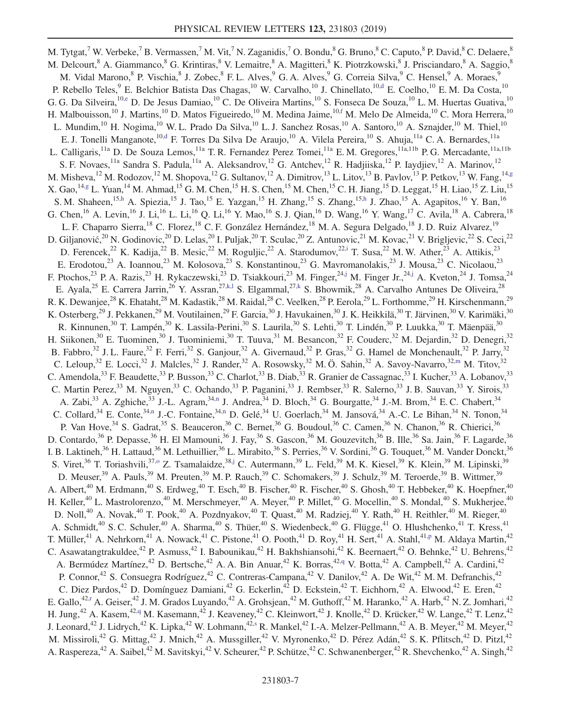<span id="page-6-13"></span><span id="page-6-12"></span><span id="page-6-11"></span><span id="page-6-10"></span><span id="page-6-9"></span><span id="page-6-8"></span><span id="page-6-7"></span><span id="page-6-6"></span><span id="page-6-5"></span><span id="page-6-4"></span><span id="page-6-3"></span><span id="page-6-2"></span><span id="page-6-1"></span><span id="page-6-0"></span>M. Tytgat,<sup>7</sup> W. Verbeke,<sup>7</sup> B. Vermassen,<sup>7</sup> M. Vit,<sup>7</sup> N. Zaganidis,<sup>7</sup> O. Bondu,<sup>8</sup> G. Bruno,<sup>8</sup> C. Caputo,<sup>8</sup> P. David,<sup>8</sup> C. Delaere,<sup>8</sup> M. Delcourt,<sup>8</sup> A. Giammanco,<sup>8</sup> G. Krintiras,<sup>8</sup> V. Lemaitre,<sup>8</sup> A. Magitteri,<sup>8</sup> K. Piotrzkowski,<sup>8</sup> J. Prisciandaro,<sup>8</sup> A. Saggio,<sup>8</sup> M. Vidal Marono, <sup>8</sup> P. Vischia, <sup>8</sup> J. Zobec, <sup>8</sup> F. L. Alves, <sup>9</sup> G. A. Alves, <sup>9</sup> G. Correia Silva, <sup>9</sup> C. Hensel, <sup>9</sup> A. Moraes, <sup>9</sup> P. Rebello Teles,<sup>9</sup> E. Belchior Batista Das Chagas,<sup>10</sup> W. Carvalho,<sup>10</sup> J. Chinellato,<sup>10[,d](#page-15-3)</sup> E. Coelho,<sup>10</sup> E. M. Da Costa,<sup>10</sup> G. G. Da Silveira, <sup>10[,e](#page-15-4)</sup> D. De Jesus Damiao, <sup>10</sup> C. De Oliveira Martins, <sup>10</sup> S. Fonseca De Souza, <sup>10</sup> L. M. Huertas Guativa, <sup>10</sup> H. Malbouisson,<sup>10</sup> J. Martins,<sup>10</sup> D. Matos Figueiredo,<sup>10</sup> M. Medina Jaime,<sup>1[0,f](#page-15-5)</sup> M. Melo De Almeida,<sup>10</sup> C. Mora Herrera,<sup>10</sup> L. Mundim,<sup>10</sup> H. Nogima,<sup>10</sup> W. L. Prado Da Silva,<sup>10</sup> L. J. Sanchez Rosas,<sup>10</sup> A. Santoro,<sup>10</sup> A. Sznajder,<sup>10</sup> M. Thiel,<sup>10</sup> E. J. Tonelli Manganote,<sup>10[,d](#page-15-3)</sup> F. Torres Da Silva De Araujo,<sup>10</sup> A. Vilela Pereira,<sup>10</sup> S. Ahuja,<sup>11a</sup> C. A. Bernardes,<sup>11a</sup> L. Calligaris,<sup>11a</sup> D. De Souza Lemos,<sup>11a</sup> T. R. Fernandez Perez Tomei,<sup>11a</sup> E. M. Gregores,<sup>11a,11b</sup> P. G. Mercadante,<sup>11a,11b</sup> S. F. Novaes,<sup>11a</sup> Sandra S. Padula,<sup>11a</sup> A. Aleksandrov,<sup>12</sup> G. Antchev,<sup>12</sup> R. Hadjiiska,<sup>12</sup> P. Iaydjiev,<sup>12</sup> A. Marinov,<sup>12</sup> M. Misheva, <sup>12</sup> M. Rodozov, <sup>12</sup> M. Shopova, <sup>12</sup> G. Sultanov, <sup>12</sup> A. Dimitrov, <sup>13</sup> L. Litov, <sup>13</sup> B. Pavlov, <sup>13</sup> P. Petkov, <sup>13</sup> W. Fang, <sup>14[,g](#page-15-6)</sup> X. Gao,  $^{14, g}$  L. Yuan,  $^{14}$  M. Ahmad,  $^{15}$  G. M. Chen,  $^{15}$  H. S. Chen,  $^{15}$  M. Chen,  $^{15}$  C. H. Jiang,  $^{15}$  D. Leggat,  $^{15}$  H. Liao,  $^{15}$  Z. Liu,  $^{15}$ S. M. Shaheen,<sup>1[5,h](#page-15-7)</sup> A. Spiezia,<sup>15</sup> J. Tao,<sup>15</sup> E. Yazgan,<sup>15</sup> H. Zhang,<sup>15</sup> S. Zhang,<sup>15[,h](#page-15-7)</sup> J. Zhao,<sup>15</sup> A. Agapitos,<sup>16</sup> Y. Ban,<sup>16</sup> G. Chen, <sup>16</sup> A. Levin, <sup>16</sup> J. Li, <sup>16</sup> L. Li, <sup>16</sup> Q. Li, <sup>16</sup> Y. Mao, <sup>16</sup> S. J. Qian, <sup>16</sup> D. Wang, <sup>16</sup> Y. Wang, <sup>17</sup> C. Avila, <sup>18</sup> A. Cabrera, <sup>18</sup> L. F. Chaparro Sierra,<sup>18</sup> C. Florez,<sup>18</sup> C. F. González Hernández,<sup>18</sup> M. A. Segura Delgado,<sup>18</sup> J. D. Ruiz Alvarez,<sup>19</sup> D. Giljanović,<sup>20</sup> N. Godinovic,<sup>20</sup> D. Lelas,<sup>20</sup> I. Puljak,<sup>20</sup> T. Sculac,<sup>20</sup> Z. Antunovic,<sup>21</sup> M. Kovac,<sup>21</sup> V. Brigljevic,<sup>22</sup> S. Ceci,<sup>22</sup> D. Ferencek,<sup>22</sup> K. Kadija,<sup>22</sup> B. Mesic,<sup>22</sup> M. Roguljic,<sup>22</sup> A. Starodumov,<sup>2[2,i](#page-15-8)</sup> T. Susa,<sup>22</sup> M. W. Ather,<sup>23</sup> A. Attikis,<sup>23</sup> E. Erodotou,<sup>23</sup> A. Ioannou,<sup>23</sup> M. Kolosova,<sup>23</sup> S. Konstantinou,<sup>23</sup> G. Mavromanolakis,<sup>23</sup> J. Mousa,<sup>23</sup> C. Nicolaou,<sup>23</sup> F. Ptochos,<sup>23</sup> P. A. Razis,<sup>23</sup> H. Rykaczewski,<sup>23</sup> D. Tsiakkouri,<sup>23</sup> M. Finger,<sup>2[4,j](#page-15-9)</sup> M. Finger Jr.,<sup>24[,j](#page-15-9)</sup> A. Kveton,<sup>24</sup> J. Tomsa,<sup>24</sup> E. Ayala,<sup>25</sup> E. Carrera Jarrin,<sup>26</sup> Y. Assran,<sup>27[,k,l](#page-15-10)</sup> S. Elgammal,<sup>27[,k](#page-15-10)</sup> S. Bhowmik,<sup>28</sup> A. Carvalho Antunes De Oliveira,<sup>28</sup> R. K. Dewanjee,<sup>28</sup> K. Ehataht,<sup>28</sup> M. Kadastik,<sup>28</sup> M. Raidal,<sup>28</sup> C. Veelken,<sup>28</sup> P. Eerola,<sup>29</sup> L. Forthomme,<sup>29</sup> H. Kirschenmann,<sup>29</sup> K. Osterberg,<sup>29</sup> J. Pekkanen,<sup>29</sup> M. Voutilainen,<sup>29</sup> F. Garcia,<sup>30</sup> J. Havukainen,<sup>30</sup> J. K. Heikkilä,<sup>30</sup> T. Järvinen,<sup>30</sup> V. Karimäki,<sup>30</sup> R. Kinnunen,<sup>30</sup> T. Lampén,<sup>30</sup> K. Lassila-Perini,<sup>30</sup> S. Laurila,<sup>30</sup> S. Lehti,<sup>30</sup> T. Lindén,<sup>30</sup> P. Luukka,<sup>30</sup> T. Mäenpää,<sup>30</sup> H. Siikonen,<sup>30</sup> E. Tuominen,<sup>30</sup> J. Tuominiemi,<sup>30</sup> T. Tuuva,<sup>31</sup> M. Besancon,<sup>32</sup> F. Couderc,<sup>32</sup> M. Dejardin,<sup>32</sup> D. Denegri,<sup>32</sup> B. Fabbro,<sup>32</sup> J. L. Faure,<sup>32</sup> F. Ferri,<sup>32</sup> S. Ganjour,<sup>32</sup> A. Givernaud,<sup>32</sup> P. Gras,<sup>32</sup> G. Hamel de Monchenault,<sup>32</sup> P. Jarry,<sup>32</sup> C. Leloup,<sup>32</sup> E. Locci,<sup>32</sup> J. Malcles,<sup>32</sup> J. Rander,<sup>32</sup> A. Rosowsky,<sup>32</sup> M. Ö. Sahin,<sup>32</sup> A. Savoy-Navarro,<sup>32[,m](#page-15-11)</sup> M. Titov,<sup>32</sup> C. Amendola,  $33$  F. Beaudette,  $33$  P. Busson,  $33$  C. Charlot,  $33$  B. Diab,  $33$  R. Granier de Cassagnac,  $33$  I. Kucher,  $33$  A. Lobanov,  $33$ C. Martin Perez,  $33$  M. Nguyen,  $33$  C. Ochando,  $33$  P. Paganini,  $33$  J. Rembser,  $33$  R. Salerno,  $33$  J. B. Sauvan,  $33$  Y. Sirois,  $33$ A. Zabi,<sup>33</sup> A. Zghiche,<sup>33</sup> J.-L. Agram,<sup>34[,n](#page-15-12)</sup> J. Andrea,<sup>34</sup> D. Bloch,<sup>34</sup> G. Bourgatte,<sup>34</sup> J.-M. Brom,<sup>34</sup> E. C. Chabert,<sup>34</sup> C. Collard,  $34$  E. Conte,  $34, n$  J.-C. Fontaine,  $34, n$  D. Gelé,  $34$  U. Goerlach,  $34$  M. Jansová,  $34$  A.-C. Le Bihan,  $34$  N. Tonon,  $34$ P. Van Hove,<sup>34</sup> S. Gadrat,<sup>35</sup> S. Beauceron,<sup>36</sup> C. Bernet,<sup>36</sup> G. Boudoul,<sup>36</sup> C. Camen,<sup>36</sup> N. Chanon,<sup>36</sup> R. Chierici,<sup>36</sup> D. Contardo,<sup>36</sup> P. Depasse,<sup>36</sup> H. El Mamouni,<sup>36</sup> J. Fay,<sup>36</sup> S. Gascon,<sup>36</sup> M. Gouzevitch,<sup>36</sup> B. Ille,<sup>36</sup> Sa. Jain,<sup>36</sup> F. Lagarde,<sup>36</sup> I. B. Laktineh,  $36$  H. Lattaud,  $36$  M. Lethuillier,  $36$  L. Mirabito,  $36$  S. Perries,  $36$  V. Sordini,  $36$  G. Touquet,  $36$  M. Vander Donckt,  $36$ S. Viret,<sup>36</sup> T. Toriashvili,<sup>37[,o](#page-15-13)</sup> Z. Tsamalaidze,<sup>38[,j](#page-15-9)</sup> C. Autermann,<sup>39</sup> L. Feld,<sup>39</sup> M. K. Kiesel,<sup>39</sup> K. Klein,<sup>39</sup> M. Lipinski,<sup>39</sup> D. Meuser,<sup>39</sup> A. Pauls,<sup>39</sup> M. Preuten,<sup>39</sup> M. P. Rauch,<sup>39</sup> C. Schomakers,<sup>39</sup> J. Schulz,<sup>39</sup> M. Teroerde,<sup>39</sup> B. Wittmer,<sup>39</sup> A. Albert,<sup>40</sup> M. Erdmann,<sup>40</sup> S. Erdweg,<sup>40</sup> T. Esch,<sup>40</sup> B. Fischer,<sup>40</sup> R. Fischer,<sup>40</sup> S. Ghosh,<sup>40</sup> T. Hebbeker,<sup>40</sup> K. Hoepfner,<sup>40</sup> H. Keller,<sup>40</sup> L. Mastrolorenzo,<sup>40</sup> M. Merschmeyer,<sup>40</sup> A. Meyer,<sup>40</sup> P. Millet,<sup>40</sup> G. Mocellin,<sup>40</sup> S. Mondal,<sup>40</sup> S. Mukherjee,<sup>40</sup> D. Noll,<sup>40</sup> A. Novak,<sup>40</sup> T. Pook,<sup>40</sup> A. Pozdnyakov,<sup>40</sup> T. Quast,<sup>40</sup> M. Radziej,<sup>40</sup> Y. Rath,<sup>40</sup> H. Reithler,<sup>40</sup> M. Rieger,<sup>40</sup> A. Schmidt,<sup>40</sup> S. C. Schuler,<sup>40</sup> A. Sharma,<sup>40</sup> S. Thüer,<sup>40</sup> S. Wiedenbeck,<sup>40</sup> G. Flügge,<sup>41</sup> O. Hlushchenko,<sup>41</sup> T. Kress,<sup>41</sup> T. Müller,<sup>41</sup> A. Nehrkorn,<sup>41</sup> A. Nowack,<sup>41</sup> C. Pistone,<sup>41</sup> O. Pooth,<sup>41</sup> D. Roy,<sup>41</sup> H. Sert,<sup>41</sup> A. Stahl,<sup>41[,p](#page-15-14)</sup> M. Aldaya Martin,<sup>42</sup> C. Asawatangtrakuldee,<sup>42</sup> P. Asmuss,<sup>42</sup> I. Babounikau,<sup>42</sup> H. Bakhshiansohi,<sup>42</sup> K. Beernaert,<sup>42</sup> O. Behnke,<sup>42</sup> U. Behrens,<sup>42</sup> A. Bermúdez Martínez,<sup>42</sup> D. Bertsche,<sup>42</sup> A. A. Bin Anuar,<sup>42</sup> K. Borras,<sup>42[,q](#page-15-15)</sup> V. Botta,<sup>42</sup> A. Campbell,<sup>42</sup> A. Cardini,<sup>42</sup> P. Connor,<sup>42</sup> S. Consuegra Rodríguez,<sup>42</sup> C. Contreras-Campana,<sup>42</sup> V. Danilov,<sup>42</sup> A. De Wit,<sup>42</sup> M. M. Defranchis,<sup>42</sup> C. Diez Pardos,<sup>42</sup> D. Domínguez Damiani,<sup>42</sup> G. Eckerlin,<sup>42</sup> D. Eckstein,<sup>42</sup> T. Eichhorn,<sup>42</sup> A. Elwood,<sup>42</sup> E. Eren,<sup>42</sup> E. Gallo,<sup>4[2,r](#page-15-16)</sup> A. Geiser,<sup>42</sup> J. M. Grados Luyando,<sup>42</sup> A. Grohsjean,<sup>42</sup> M. Guthoff,<sup>42</sup> M. Haranko,<sup>42</sup> A. Harb,<sup>42</sup> N. Z. Jomhari,<sup>42</sup> H. Jung,<sup>42</sup> A. Kasem,<sup>42[,q](#page-15-15)</sup> M. Kasemann,<sup>42</sup> J. Keaveney,<sup>42</sup> C. Kleinwort,<sup>42</sup> J. Knolle,<sup>42</sup> D. Krücker,<sup>42</sup> W. Lange,<sup>42</sup> T. Lenz,<sup>42</sup> J. Leonard,<sup>42</sup> J. Lidrych,<sup>42</sup> K. Lipka,<sup>42</sup> W. Lohmann,<sup>42[,s](#page-15-17)</sup> R. Mankel,<sup>42</sup> I.-A. Melzer-Pellmann,<sup>42</sup> A. B. Meyer,<sup>42</sup> M. Meyer,<sup>42</sup> M. Missiroli,<sup>42</sup> G. Mittag,<sup>42</sup> J. Mnich,<sup>42</sup> A. Mussgiller,<sup>42</sup> V. Myronenko,<sup>42</sup> D. Pérez Adán,<sup>42</sup> S. K. Pflitsch,<sup>42</sup> D. Pitzl,<sup>42</sup> A. Raspereza,  $^{42}$  A. Saibel,  $^{42}$  M. Savitskyi,  $^{42}$  V. Scheurer,  $^{42}$  P. Schütze,  $^{42}$  C. Schwanenberger,  $^{42}$  R. Shevchenko,  $^{42}$  A. Singh,  $^{42}$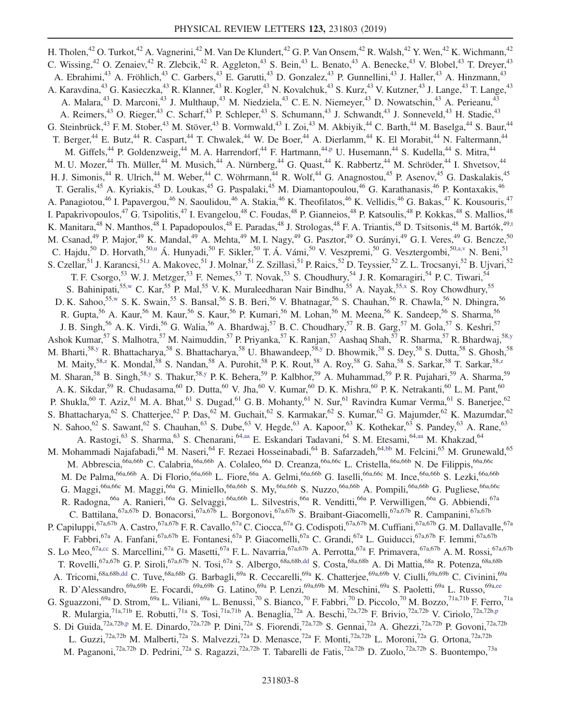<span id="page-7-10"></span><span id="page-7-9"></span><span id="page-7-8"></span><span id="page-7-7"></span><span id="page-7-6"></span><span id="page-7-5"></span><span id="page-7-4"></span><span id="page-7-3"></span><span id="page-7-2"></span><span id="page-7-1"></span><span id="page-7-0"></span>H. Tholen,<sup>42</sup> O. Turkot,<sup>42</sup> A. Vagnerini,<sup>42</sup> M. Van De Klundert,<sup>42</sup> G. P. Van Onsem,<sup>42</sup> R. Walsh,<sup>42</sup> Y. Wen,<sup>42</sup> K. Wichmann,<sup>42</sup> C. Wissing,<sup>42</sup> O. Zenaiev,<sup>42</sup> R. Zlebcik,<sup>42</sup> R. Aggleton,<sup>43</sup> S. Bein,<sup>43</sup> L. Benato,<sup>43</sup> A. Benecke,<sup>43</sup> V. Blobel,<sup>43</sup> T. Dreyer,<sup>43</sup> A. Ebrahimi,<sup>43</sup> A. Fröhlich,<sup>43</sup> C. Garbers,<sup>43</sup> E. Garutti,<sup>43</sup> D. Gonzalez,<sup>43</sup> P. Gunnellini,<sup>43</sup> J. Haller,<sup>43</sup> A. Hinzmann,<sup>43</sup> A. Karavdina,<sup>43</sup> G. Kasieczka,<sup>43</sup> R. Klanner,<sup>43</sup> R. Kogler,<sup>43</sup> N. Kovalchuk,<sup>43</sup> S. Kurz,<sup>43</sup> V. Kutzner,<sup>43</sup> J. Lange,<sup>43</sup> T. Lange,<sup>43</sup> A. Malara,<sup>43</sup> D. Marconi,<sup>43</sup> J. Multhaup,<sup>43</sup> M. Niedziela,<sup>43</sup> C. E. N. Niemeyer,<sup>43</sup> D. Nowatschin,<sup>43</sup> A. Perieanu,<sup>43</sup> A. Reimers,<sup>43</sup> O. Rieger,<sup>43</sup> C. Scharf,<sup>43</sup> P. Schleper,<sup>43</sup> S. Schumann,<sup>43</sup> J. Schwandt,<sup>43</sup> J. Sonneveld,<sup>43</sup> H. Stadie,<sup>43</sup> G. Steinbrück,<sup>43</sup> F. M. Stober,<sup>43</sup> M. Stöver,<sup>43</sup> B. Vormwald,<sup>43</sup> I. Zoi,<sup>43</sup> M. Akbiyik,<sup>44</sup> C. Barth,<sup>44</sup> M. Baselga,<sup>44</sup> S. Baur,<sup>44</sup> T. Berger,<sup>44</sup> E. Butz,<sup>44</sup> R. Caspart,<sup>44</sup> T. Chwalek,<sup>44</sup> W. De Boer,<sup>44</sup> A. Dierlamm,<sup>44</sup> K. El Morabit,<sup>44</sup> N. Faltermann,<sup>44</sup> M. Giffels,<sup>44</sup> P. Goldenzweig,<sup>44</sup> M. A. Harrendorf,<sup>44</sup> F. Hartmann,<sup>44[,p](#page-15-14)</sup> U. Husemann,<sup>44</sup> S. Kudella,<sup>44</sup> S. Mitra,<sup>44</sup> M. U. Mozer,<sup>44</sup> Th. Müller,<sup>44</sup> M. Musich,<sup>44</sup> A. Nürnberg,<sup>44</sup> G. Quast,<sup>44</sup> K. Rabbertz,<sup>44</sup> M. Schröder,<sup>44</sup> I. Shvetsov,<sup>44</sup> H. J. Simonis,<sup>44</sup> R. Ulrich,<sup>44</sup> M. Weber,<sup>44</sup> C. Wöhrmann,<sup>44</sup> R. Wolf,<sup>44</sup> G. Anagnostou,<sup>45</sup> P. Asenov,<sup>45</sup> G. Daskalakis,<sup>45</sup> T. Geralis,<sup>45</sup> A. Kyriakis,<sup>45</sup> D. Loukas,<sup>45</sup> G. Paspalaki,<sup>45</sup> M. Diamantopoulou,<sup>46</sup> G. Karathanasis,<sup>46</sup> P. Kontaxakis,<sup>46</sup> A. Panagiotou,<sup>46</sup> I. Papavergou,<sup>46</sup> N. Saoulidou,<sup>46</sup> A. Stakia,<sup>46</sup> K. Theofilatos,<sup>46</sup> K. Vellidis,<sup>46</sup> G. Bakas,<sup>47</sup> K. Kousouris,<sup>47</sup> I. Papakrivopoulos,<sup>47</sup> G. Tsipolitis,<sup>47</sup> I. Evangelou,<sup>48</sup> C. Foudas,<sup>48</sup> P. Gianneios,<sup>48</sup> P. Katsoulis,<sup>48</sup> P. Kokkas,<sup>48</sup> S. Mallios,<sup>48</sup> K. Manitara,<sup>48</sup> N. Manthos,<sup>48</sup> I. Papadopoulos,<sup>48</sup> E. Paradas,<sup>48</sup> J. Strologas,<sup>48</sup> F. A. Triantis,<sup>48</sup> D. Tsitsonis,<sup>48</sup> M. Bartók,<sup>4[9,t](#page-16-0)</sup> M. Csanad, $^{49}$  P. Major, $^{49}$  K. Mandal, $^{49}$  A. Mehta, $^{49}$  M. I. Nagy, $^{49}$  G. Pasztor, $^{49}$  O. Surányi, $^{49}$  G. I. Veres, $^{49}$  G. Bencze, $^{50}$ C. Hajdu,<sup>50</sup> D. Horvath,<sup>5[0,u](#page-16-1)</sup> Á. Hunyadi,<sup>50</sup> F. Sikler,<sup>50</sup> T. Á. Vámi,<sup>50</sup> V. Veszpremi,<sup>50</sup> G. Vesztergombi,<sup>5[0,a,v](#page-15-0)</sup> N. Beni,<sup>51</sup> S. Czellar,<sup>51</sup> J. Karancsi,<sup>51[,t](#page-16-0)</sup> A. Makovec,<sup>51</sup> J. Molnar,<sup>51</sup> Z. Szillasi,<sup>51</sup> P. Raics,<sup>52</sup> D. Teyssier,<sup>52</sup> Z. L. Trocsanyi,<sup>52</sup> B. Ujvari,<sup>52</sup> T. F. Csorgo,<sup>53</sup> W. J. Metzger,<sup>53</sup> F. Nemes,<sup>53</sup> T. Novak,<sup>53</sup> S. Choudhury,<sup>54</sup> J. R. Komaragiri,<sup>54</sup> P. C. Tiwari,<sup>54</sup> S. Bahinipati,<sup>55[,w](#page-16-2)</sup> C. Kar,<sup>55</sup> P. Mal,<sup>55</sup> V. K. Muraleedharan Nair Bindhu,<sup>55</sup> A. Nayak,<sup>5[5,x](#page-16-3)</sup> S. Roy Chowdhury,<sup>55</sup> D. K. Sahoo,<sup>5[5,w](#page-16-2)</sup> S. K. Swain,<sup>55</sup> S. Bansal,<sup>56</sup> S. B. Beri,<sup>56</sup> V. Bhatnagar,<sup>56</sup> S. Chauhan,<sup>56</sup> R. Chawla,<sup>56</sup> N. Dhingra,<sup>56</sup> R. Gupta,<sup>56</sup> A. Kaur,<sup>56</sup> M. Kaur,<sup>56</sup> S. Kaur,<sup>56</sup> P. Kumari,<sup>56</sup> M. Lohan,<sup>56</sup> M. Meena,<sup>56</sup> K. Sandeep,<sup>56</sup> S. Sharma,<sup>56</sup> J. B. Singh,<sup>56</sup> A. K. Virdi,<sup>56</sup> G. Walia,<sup>56</sup> A. Bhardwaj,<sup>57</sup> B. C. Choudhary,<sup>57</sup> R. B. Garg,<sup>57</sup> M. Gola,<sup>57</sup> S. Keshri,<sup>57</sup> Ashok Kumar,  $^{57}$  S. Malhotra,  $^{57}$  M. Naimuddin,  $^{57}$  P. Priyanka,  $^{57}$  K. Ranjan,  $^{57}$  Aashaq Shah,  $^{57}$  R. Sharma,  $^{57}$  R. Bhardwaj,  $^{58,y}$  $^{58,y}$  $^{58,y}$ M. Bharti,<sup>58[,y](#page-16-4)</sup> R. Bhattacharya,<sup>58</sup> S. Bhattacharya,<sup>58</sup> U. Bhawandeep,<sup>5[8,y](#page-16-4)</sup> D. Bhowmik,<sup>58</sup> S. Dey,<sup>58</sup> S. Dutta,<sup>58</sup> S. Ghosh,<sup>58</sup> M. Maity,<sup>5[8,z](#page-16-5)</sup> K. Mondal,<sup>58</sup> S. Nandan,<sup>58</sup> A. Purohit,<sup>58</sup> P. K. Rout,<sup>58</sup> A. Roy,<sup>58</sup> G. Saha,<sup>58</sup> S. Sarkar,<sup>58</sup> T. Sarkar,<sup>58[,z](#page-16-5)</sup> M. Sharan,<sup>58</sup> B. Singh,<sup>5[8,y](#page-16-4)</sup> S. Thakur,<sup>58[,y](#page-16-4)</sup> P. K. Behera,<sup>59</sup> P. Kalbhor,<sup>59</sup> A. Muhammad,<sup>59</sup> P. R. Pujahari,<sup>59</sup> A. Sharma,<sup>59</sup> A. K. Sikdar,<sup>59</sup> R. Chudasama,<sup>60</sup> D. Dutta,<sup>60</sup> V. Jha,<sup>60</sup> V. Kumar,<sup>60</sup> D. K. Mishra,<sup>60</sup> P. K. Netrakanti,<sup>60</sup> L. M. Pant,<sup>60</sup> P. Shukla,<sup>60</sup> T. Aziz,<sup>61</sup> M. A. Bhat,<sup>61</sup> S. Dugad,<sup>61</sup> G. B. Mohanty,<sup>61</sup> N. Sur,<sup>61</sup> Ravindra Kumar Verma,<sup>61</sup> S. Banerjee,<sup>62</sup> S. Bhattacharya,<sup>62</sup> S. Chatterjee,<sup>62</sup> P. Das,<sup>62</sup> M. Guchait,<sup>62</sup> S. Karmakar,<sup>62</sup> S. Kumar,<sup>62</sup> G. Majumder,<sup>62</sup> K. Mazumdar,<sup>62</sup> N. Sahoo,<sup>62</sup> S. Sawant,<sup>62</sup> S. Chauhan,<sup>63</sup> S. Dube,<sup>63</sup> V. Hegde,<sup>63</sup> A. Kapoor,<sup>63</sup> K. Kothekar,<sup>63</sup> S. Pandey,<sup>63</sup> A. Rane,<sup>63</sup> N. Sahoo,<sup>62</sup> S. Sawant,<sup>62</sup> S. Chauhan,<sup>63</sup> S. Dube,<sup>63</sup> V. Hegde,<sup>63</sup> A. Kapoor,<sup>63</sup> K. A. Rastogi, <sup>63</sup> S. Sharma, <sup>63</sup> S. Chenarani, <sup>64[,aa](#page-16-6)</sup> E. Eskandari Tadavani, <sup>64</sup> S. M. Etesami, <sup>6[4,aa](#page-16-6)</sup> M. Khakzad, <sup>64</sup> M. Mohammadi Najafabadi,<sup>64</sup> M. Naseri,<sup>64</sup> F. Rezaei Hosseinabadi,<sup>64</sup> B. Safarzadeh,<sup>6[4,bb](#page-16-7)</sup> M. Felcini,<sup>65</sup> M. Grunewald,<sup>65</sup> M. Abbrescia, <sup>66a,66b</sup> C. Calabria, <sup>66a,66b</sup> A. Colaleo, <sup>66a</sup> D. Creanza, <sup>66a,66c</sup> L. Cristella, <sup>66a,66b</sup> N. De Filippis, <sup>66a,66c</sup> M. De Palma, <sup>66a,66b</sup> A. Di Florio, <sup>66a,66b</sup> L. Fiore, <sup>66a</sup> A. Gelmi, <sup>66a,66b</sup> G. Iaselli, <sup>66a,66c</sup> M. Ince, <sup>66a,66b</sup> S. Lezki, <sup>66a,66b</sup> G. Maggi,<sup>66a,66c</sup> M. Maggi,<sup>66a</sup> G. Miniello,<sup>66a,66b</sup> S. My,<sup>66a,66b</sup> S. Nuzzo,<sup>66a,66b</sup> A. Pompili,<sup>66a,66b</sup> G. Pugliese,<sup>66a,66c</sup> R. Radogna,<sup>66a</sup> A. Ranieri,<sup>66a</sup> G. Selvaggi,<sup>66a,66b</sup> L. Silvestris,<sup>66a</sup> R. Venditti,<sup>66a</sup> P. Verwilligen,<sup>66a</sup> G. Abbiendi,<sup>67a</sup> C. Battilana, <sup>67a,67b</sup> D. Bonacorsi, <sup>67a,67b</sup> L. Borgonovi, <sup>67a,67b</sup> S. Braibant-Giacomelli, <sup>67a,67b</sup> R. Campanini, <sup>67a,67b</sup> P. Capiluppi,<sup>67a,67b</sup> A. Castro,<sup>67a,67b</sup> F. R. Cavallo,<sup>67a</sup> C. Ciocca,<sup>67a</sup> G. Codispoti,<sup>67a,67b</sup> M. Cuffiani,<sup>67a,67b</sup> G. M. Dallavalle,<sup>67a</sup> F. Fabbri,<sup>67a</sup> A. Fanfani,<sup>67a,67b</sup> E. Fontanesi,<sup>67a</sup> P. Giacomelli,<sup>67a</sup> C. Grandi,<sup>67a</sup> L. Guiducci,<sup>67a,67b</sup> F. Iemmi,<sup>67a,67b</sup> S. Lo Meo, <sup>67a[,cc](#page-16-8)</sup> S. Marcellini, <sup>67a</sup> G. Masetti, <sup>67a</sup> F. L. Navarria, <sup>67a,67b</sup> A. Perrotta, <sup>67a</sup> F. Primavera, <sup>67a,67b</sup> A. M. Rossi, <sup>67a,67b</sup> T. Rovelli,<sup>67a,67b</sup> G. P. Siroli,<sup>67a,67b</sup> N. Tosi,<sup>67a</sup> S. Albergo,<sup>68a,68b[,dd](#page-16-9)</sup> S. Costa,<sup>68a,68b</sup> A. Di Mattia,<sup>68a</sup> R. Potenza,<sup>68a,68b</sup> A. Tricomi,<sup>68a,68[b,dd](#page-16-9)</sup> C. Tuve,<sup>68a,68b</sup> G. Barbagli,<sup>69a</sup> R. Ceccarelli,<sup>69a</sup> K. Chatterjee,<sup>69a,69b</sup> V. Ciulli,<sup>69a,69b</sup> C. Civinini,<sup>69a</sup> R. D'Alessandro,<sup>69a,69b</sup> E. Focardi,<sup>69a,69b</sup> G. Latino,<sup>69a</sup> P. Lenzi,<sup>69a,69b</sup> M. Meschini,<sup>69a</sup> S. Paoletti,<sup>69a</sup> L. Russo,<sup>69a[,ee](#page-16-10)</sup> G. Sguazzoni,<sup>69a</sup> D. Strom,<sup>69a</sup> L. Viliani,<sup>69a</sup> L. Benussi,<sup>70</sup> S. Bianco,<sup>70</sup> F. Fabbri,<sup>70</sup> D. Piccolo,<sup>70</sup> M. Bozzo,<sup>71a,71b</sup> F. Ferro,<sup>71a</sup> R. Mulargia,<sup>71a,71b</sup> E. Robutti,<sup>71a</sup> S. Tosi,<sup>71a,71b</sup> A. Benaglia,<sup>72a</sup> A. Beschi,<sup>72a,72b</sup> F. Brivio,<sup>72a,72b</sup> V. Ciriolo,<sup>72a,72b[,p](#page-15-14)</sup> S. Di Guida,<sup>72a,72[b,p](#page-15-14)</sup> M. E. Dinardo,<sup>72a,72b</sup> P. Dini,<sup>72a</sup> S. Fiorendi,<sup>72a,72b</sup> S. Gennai,<sup>72a</sup> A. Ghezzi,<sup>72a,72b</sup> P. Govoni,<sup>72a,72b</sup> L. Guzzi,<sup>72a,72b</sup> M. Malberti,<sup>72a</sup> S. Malvezzi,<sup>72a</sup> D. Menasce,<sup>72a</sup> F. Monti,<sup>72a,72b</sup> L. Moroni,<sup>72a</sup> G. Ortona,<sup>72a,72b</sup> M. Paganoni,<sup>72a,72b</sup> D. Pedrini,<sup>72a</sup> S. Ragazzi,<sup>72a,72b</sup> T. Tabarelli de Fatis,<sup>72a,72b</sup> D. Zuolo,<sup>72a,72b</sup> S. Buontempo,<sup>73a</sup>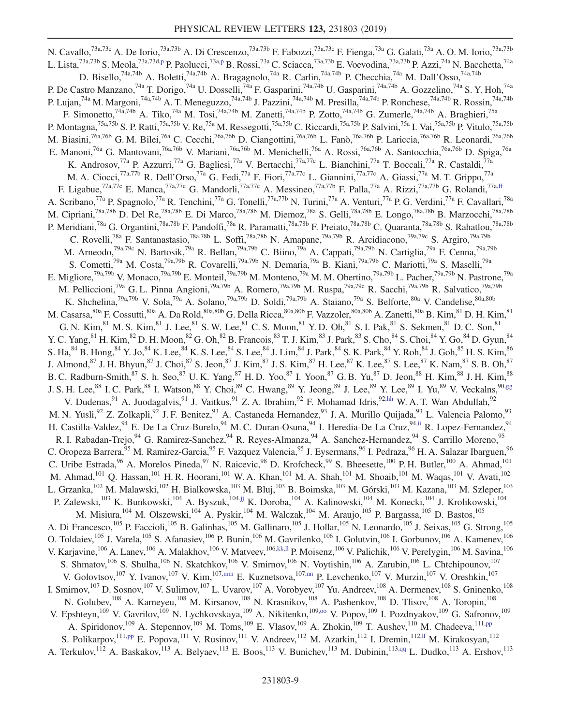<span id="page-8-9"></span><span id="page-8-8"></span><span id="page-8-7"></span><span id="page-8-6"></span><span id="page-8-5"></span><span id="page-8-4"></span><span id="page-8-3"></span><span id="page-8-2"></span><span id="page-8-1"></span><span id="page-8-0"></span>N. Cavallo,<sup>73a,73c</sup> A. De Iorio,<sup>73a,73b</sup> A. Di Crescenzo,<sup>73a,73b</sup> F. Fabozzi,<sup>73a,73c</sup> F. Fienga,<sup>73a</sup> G. Galati,<sup>73a</sup> A. O. M. Iorio,<sup>73a,73b</sup> L. Lista,<sup>73a,73b</sup> S. Meola,<sup>73a,73d[,p](#page-15-14)</sup> P. Paolucci,<sup>73a,p</sup> B. Rossi,<sup>73a</sup> C. Sciacca,<sup>73a,73b</sup> E. Voevodina,<sup>73a,73b</sup> P. Azzi,<sup>74a</sup> N. Bacchetta,<sup>74a</sup> D. Bisello,<sup>74a,74b</sup> A. Boletti,<sup>74a,74b</sup> A. Bragagnolo,<sup>74a</sup> R. Carlin,<sup>74a,74b</sup> P. Checchia,<sup>74a</sup> M. Dall'Osso,<sup>74a,74b</sup> P. De Castro Manzano,<sup>74a</sup> T. Dorigo,<sup>74a</sup> U. Dosselli,<sup>74a</sup> F. Gasparini,<sup>74a,74b</sup> U. Gasparini,<sup>74a,74b</sup> A. Gozzelino,<sup>74a</sup> S. Y. Hoh,<sup>74a</sup> P. Lujan,<sup>74a</sup> M. Margoni,<sup>74a,74b</sup> A. T. Meneguzzo,<sup>74a,74b</sup> J. Pazzini,<sup>74a,74b</sup> M. Presilla,<sup>74a,74b</sup> P. Ronchese,<sup>74a,74b</sup> R. Rossin,<sup>74a,74b</sup> F. Simonetto,<sup>74a,74b</sup> A. Tiko,<sup>74a</sup> M. Tosi,<sup>74a,74b</sup> M. Zanetti,<sup>74a,74b</sup> P. Zotto,<sup>74a,74b</sup> G. Zumerle,<sup>74a,74b</sup> A. Braghieri,<sup>75a</sup> P. Montagna,<sup>75a,75b</sup> S. P. Ratti,<sup>75a,75b</sup> V. Re,<sup>75a</sup> M. Ressegotti,<sup>75a,75b</sup> C. Riccardi,<sup>75a,75b</sup> P. Salvini,<sup>75a</sup> I. Vai,<sup>75a,75b</sup> P. Vitulo,<sup>75a,75b</sup> M. Biasini,<sup>76a,76b</sup> G. M. Bilei,<sup>76a</sup> C. Cecchi,<sup>76a,76b</sup> D. Ciangottini,<sup>76a,76b</sup> L. Fanò,<sup>76a,76b</sup> P. Lariccia,<sup>76a,76b</sup> R. Leonardi,<sup>76a,76b</sup> E. Manoni,<sup>76a</sup> G. Mantovani,<sup>76a,76b</sup> V. Mariani,<sup>76a,76b</sup> M. Menichelli,<sup>76a</sup> A. Rossi,<sup>76a,76b</sup> A. Santocchia,<sup>76a,76b</sup> D. Spiga,<sup>76a</sup> K. Androsov,<sup>77a</sup> P. Azzurri,<sup>77a</sup> G. Bagliesi,<sup>77a</sup> V. Bertacchi,<sup>77a,77c</sup> L. Bianchini,<sup>77a</sup> T. Boccali,<sup>77a</sup> R. Castaldi,<sup>77a</sup> M. A. Ciocci,<sup>77a,77b</sup> R. Dell'Orso,<sup>77a</sup> G. Fedi,<sup>77a</sup> F. Fiori,<sup>77a,77c</sup> L. Giannini,<sup>77a,77c</sup> A. Giassi,<sup>77a</sup> M. T. Grippo,<sup>77a</sup> F. Ligabue,<sup>77a,77c</sup> E. Manca,<sup>77a,77c</sup> G. Mandorli,<sup>77a,77c</sup> A. Messineo,<sup>77a,77b</sup> F. Palla,<sup>77a</sup> A. Rizzi,<sup>77a,77b</sup> G. Rolandi,<sup>77[a,ff](#page-16-11)</sup> A. Scribano,<sup>77a</sup> P. Spagnolo,<sup>77a</sup> R. Tenchini,<sup>77a</sup> G. Tonelli,<sup>77a,77b</sup> N. Turini,<sup>77a</sup> A. Venturi,<sup>77a</sup> P. G. Verdini,<sup>77a</sup> F. Cavallari,<sup>78a</sup> M. Cipriani,<sup>78a,78b</sup> D. Del Re,<sup>78a,78b</sup> E. Di Marco,<sup>78a,78b</sup> M. Diemoz,<sup>78a</sup> S. Gelli,<sup>78a,78b</sup> E. Longo,<sup>78a,78b</sup> B. Marzocchi,<sup>78a,78b</sup> P. Meridiani,<sup>78a</sup> G. Organtini,<sup>78a,78b</sup> F. Pandolfi,<sup>78a</sup> R. Paramatti,<sup>78a,78b</sup> F. Preiato,<sup>78a,78b</sup> C. Quaranta,<sup>78a,78b</sup> S. Rahatlou,<sup>78a,78b</sup> C. Rovelli,<sup>78a</sup> F. Santanastasio,<sup>78a,78b</sup> L. Soffi,<sup>78a,78b</sup> N. Amapane,<sup>79a,79b</sup> R. Arcidiacono,<sup>79a,79c</sup> S. Argiro,<sup>79a,79b</sup> M. Arneodo,<sup>79a,79c</sup> N. Bartosik,<sup>79a</sup> R. Bellan,<sup>79a,79b</sup> C. Biino,<sup>79a</sup> A. Cappati,<sup>79a,79b</sup> N. Cartiglia,<sup>79a</sup> F. Cenna,<sup>79a,79b</sup> S. Cometti,<sup>79a</sup> M. Costa,<sup>79a,79b</sup> R. Covarelli,<sup>79a,79b</sup> N. Demaria,<sup>79a</sup> B. Kiani,<sup>79a,79b</sup> C. Mariotti,<sup>79a</sup> S. Maselli,<sup>79a</sup> E. Migliore,<sup>79a,79b</sup> V. Monaco,<sup>79a,79b</sup> E. Monteil,<sup>79a,79b</sup> M. Monteno,<sup>79a</sup> M. M. Obertino,<sup>79a,79b</sup> L. Pacher,<sup>79a,79b</sup> N. Pastrone,<sup>79a</sup> M. Pelliccioni,<sup>79a</sup> G. L. Pinna Angioni,<sup>79a,79b</sup> A. Romero,<sup>79a,79b</sup> M. Ruspa,<sup>79a,79c</sup> R. Sacchi,<sup>79a,79b</sup> R. Salvatico,<sup>79a,79b</sup> K. Shchelina,<sup>79a,79b</sup> V. Sola,<sup>79a</sup> A. Solano,<sup>79a,79b</sup> D. Soldi,<sup>79a,79b</sup> A. Staiano,<sup>79a</sup> S. Belforte,<sup>80a</sup> V. Candelise,<sup>80a,80b</sup> M. Casarsa, $^{80a}$  F. Cossutti, $^{80a}$  A. Da Rold, $^{80a,80b}$  G. Della Ricca, $^{80a,80b}$  F. Vazzoler, $^{80a,80b}$  A. Zanetti, $^{80a}$  B. Kim, $^{81}$  D. H. Kim, $^{81}$ G. N. Kim, $^{81}$  M. S. Kim, $^{81}$  J. Lee, $^{81}$  S. W. Lee, $^{81}$  C. S. Moon, $^{81}$  Y. D. Oh, $^{81}$  S. I. Pak, $^{81}$  S. Sekmen, $^{81}$  D. C. Son, $^{81}$ Y. C. Yang,  ${}^{81}$  H. Kim,  ${}^{82}$  D. H. Moon,  ${}^{82}$  G. Oh,  ${}^{82}$  B. Francois,  ${}^{83}$  T. J. Kim,  ${}^{83}$  J. Park,  ${}^{83}$  S. Cho,  ${}^{84}$  S. Choi,  ${}^{84}$  Y. Go,  ${}^{84}$  D. Gyun,  ${}^{84}$ S. Ha,  $84$  B. Hong,  $84$  Y. Jo,  $84$  K. Lee,  $84$  K. S. Lee,  $84$  S. Lee,  $84$  J. Lim,  $84$  J. Park,  $84$  S. K. Park,  $84$  Y. Roh,  $84$  J. Goh,  $85$  H. S. Kim,  $86$ J. Almond, $^{87}$  J. H. Bhyun, $^{87}$  J. Choi, $^{87}$  S. Jeon, $^{87}$  J. Kim, $^{87}$  J. S. Kim, $^{87}$  H. Lee, $^{87}$  K. Lee, $^{87}$  S. Lee, $^{87}$  K. Nam, $^{87}$  S. B. Oh, $^{87}$ B. C. Radburn-Smith,  $87$  S. h. Seo,  $87$  U. K. Yang,  $87$  H. D. Yoo,  $87$  I. Yoon,  $87$  G. B. Yu,  $87$  D. Jeon,  $88$  H. Kim,  $88$  J. H. Kim,  $88$ J. S. H. Lee,<sup>88</sup> I. C. Park,<sup>88</sup> I. Watson,<sup>88</sup> Y. Choi,<sup>89</sup> C. Hwang,<sup>89</sup> Y. Jeong,<sup>89</sup> J. Lee,<sup>89</sup> Y. Lee,<sup>89</sup> I. Yu,<sup>89</sup> V. Veckalns,<sup>90[,gg](#page-16-12)</sup> V. Dudenas, <sup>91</sup> A. Juodagalvis, <sup>91</sup> J. Vaitkus, <sup>91</sup> Z. A. Ibrahim, <sup>92</sup> F. Mohamad Idris, <sup>92[,hh](#page-16-13)</sup> W. A. T. Wan Abdullah, <sup>92</sup> M. N. Yusli,<sup>92</sup> Z. Zolkapli,<sup>92</sup> J. F. Benitez,<sup>93</sup> A. Castaneda Hernandez,<sup>93</sup> J. A. Murillo Quijada,<sup>93</sup> L. Valencia Palomo,<sup>93</sup> H. Castilla-Valdez, <sup>94</sup> E. De La Cruz-Burelo, <sup>94</sup> M. C. Duran-Osuna, <sup>94</sup> I. Heredia-De La Cruz, <sup>9[4,ii](#page-16-14)</sup> R. Lopez-Fernandez, <sup>94</sup> R. I. Rabadan-Trejo, <sup>94</sup> G. Ramirez-Sanchez, <sup>94</sup> R. Reyes-Almanza, <sup>94</sup> A. Sanchez-Hernandez, <sup>94</sup> S. Carrillo Moreno, <sup>95</sup> C. Oropeza Barrera,<sup>95</sup> M. Ramirez-Garcia,<sup>95</sup> F. Vazquez Valencia,<sup>95</sup> J. Eysermans,<sup>96</sup> I. Pedraza,<sup>96</sup> H. A. Salazar Ibarguen,<sup>96</sup> C. Uribe Estrada,  $96$  A. Morelos Pineda,  $97$  N. Raicevic,  $98$  D. Krofcheck,  $99$  S. Bheesette,  $100$  P. H. Butler,  $100$  A. Ahmad,  $101$ M. Ahmad,<sup>101</sup> Q. Hassan,<sup>101</sup> H. R. Hoorani,<sup>101</sup> W. A. Khan,<sup>101</sup> M. A. Shah,<sup>101</sup> M. Shoaib,<sup>101</sup> M. Waqas,<sup>101</sup> V. Avati,<sup>102</sup> L. Grzanka, <sup>102</sup> M. Malawski, <sup>102</sup> H. Bialkowska, <sup>103</sup> M. Bluj, <sup>103</sup> B. Boimska, <sup>103</sup> M. Górski, <sup>103</sup> M. Kazana, <sup>103</sup> M. Szleper, <sup>103</sup> P. Zalewski,<sup>103</sup> K. Bunkowski,<sup>104</sup> A. Byszuk,<sup>104[,jj](#page-16-15)</sup> K. Doroba,<sup>104</sup> A. Kalinowski,<sup>104</sup> M. Konecki,<sup>104</sup> J. Krolikowski,<sup>104</sup> M. Misiura, <sup>104</sup> M. Olszewski, <sup>104</sup> A. Pyskir, <sup>104</sup> M. Walczak, <sup>104</sup> M. Araujo, <sup>105</sup> P. Bargassa, <sup>105</sup> D. Bastos, <sup>105</sup> A. Di Francesco,<sup>105</sup> P. Faccioli,<sup>105</sup> B. Galinhas,<sup>105</sup> M. Gallinaro,<sup>105</sup> J. Hollar,<sup>105</sup> N. Leonardo,<sup>105</sup> J. Seixas,<sup>105</sup> G. Strong,<sup>105</sup> O. Toldaiev,  $^{105}$  J. Varela,  $^{105}$  S. Afanasiev,  $^{106}$  P. Bunin,  $^{106}$  M. Gavrilenko,  $^{106}$  I. Golutvin,  $^{106}$  I. Gorbunov,  $^{106}$  A. Kamenev,  $^{106}$ V. Karjavine,<sup>106</sup> A. Lanev,<sup>106</sup> A. Malakhov,<sup>106</sup> V. Matveev,<sup>106[,kk,ll](#page-16-16)</sup> P. Moisenz,<sup>106</sup> V. Palichik,<sup>106</sup> V. Perelygin,<sup>106</sup> M. Savina,<sup>106</sup> S. Shmatov,<sup>106</sup> S. Shulha,<sup>106</sup> N. Skatchkov,<sup>106</sup> V. Smirnov,<sup>106</sup> N. Voytishin,<sup>106</sup> A. Zarubin,<sup>106</sup> L. Chtchipounov,<sup>107</sup> V. Golovtsov,<sup>107</sup> Y. Ivanov,<sup>107</sup> V. Kim,<sup>10[7,mm](#page-16-17)</sup> E. Kuznetsova,<sup>10[7,nn](#page-16-18)</sup> P. Levchenko,<sup>107</sup> V. Murzin,<sup>107</sup> V. Oreshkin,<sup>107</sup> I. Smirnov,<sup>107</sup> D. Sosnov,<sup>107</sup> V. Sulimov,<sup>107</sup> L. Uvarov,<sup>107</sup> A. Vorobyev,<sup>107</sup> Yu. Andreev,<sup>108</sup> A. Dermenev,<sup>108</sup> S. Gninenko,<sup>108</sup> N. Golubev,<sup>108</sup> A. Karneyeu,<sup>108</sup> M. Kirsanov,<sup>108</sup> N. Krasnikov,<sup>108</sup> A. Pashenkov,<sup>108</sup> D. Tlisov,<sup>108</sup> A. Toropin,<sup>108</sup> V. Epshteyn,<sup>109</sup> V. Gavrilov,<sup>109</sup> N. Lychkovskaya,<sup>109</sup> A. Nikitenko,<sup>109,00</sup> V. Popov,<sup>109</sup> I. Pozdnyakov,<sup>109</sup> G. Safronov,<sup>109</sup> A. Spiridonov,<sup>109</sup> A. Stepennov,<sup>109</sup> M. Toms,<sup>109</sup> E. Vlasov,<sup>109</sup> A. Zhokin,<sup>109</sup> T. Aushev,<sup>110</sup> M. Chadeeva,<sup>111[,pp](#page-16-20)</sup> S. Polikarpov,<sup>11[1,pp](#page-16-20)</sup> E. Popova,<sup>111</sup> V. Rusinov,<sup>111</sup> V. Andreev,<sup>112</sup> M. Azarkin,<sup>112</sup> I. Dremin,<sup>112,11</sup> M. Kirakosyan,<sup>112</sup> A. Terkulov,<sup>112</sup> A. Baskakov,<sup>113</sup> A. Belyaev,<sup>113</sup> E. Boos,<sup>113</sup> V. Bunichev,<sup>113</sup> M. Dubinin,<sup>113[,qq](#page-16-22)</sup> L. Dudko,<sup>113</sup> A. Ershov,<sup>113</sup>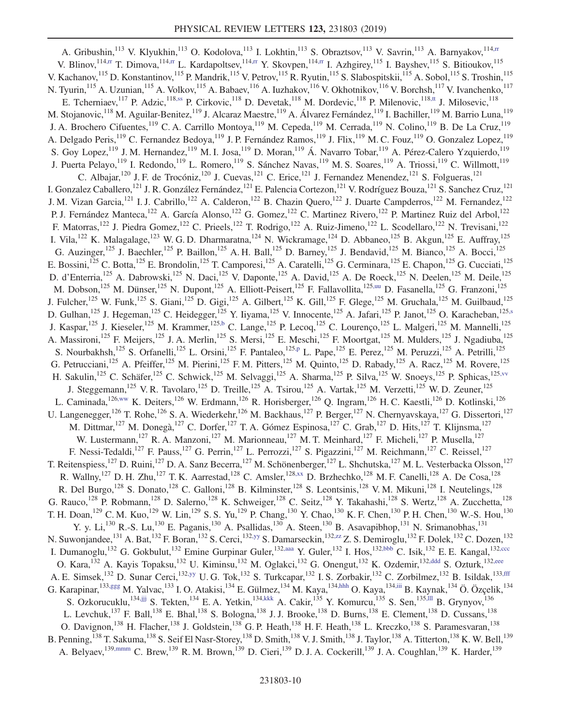<span id="page-9-12"></span><span id="page-9-11"></span><span id="page-9-10"></span><span id="page-9-9"></span><span id="page-9-8"></span><span id="page-9-7"></span><span id="page-9-6"></span><span id="page-9-5"></span><span id="page-9-4"></span><span id="page-9-3"></span><span id="page-9-2"></span><span id="page-9-1"></span><span id="page-9-0"></span>A. Gribushin,<sup>113</sup> V. Klyukhin,<sup>113</sup> O. Kodolova,<sup>113</sup> I. Lokhtin,<sup>113</sup> S. Obraztsov,<sup>113</sup> V. Savrin,<sup>113</sup> A. Barnyakov,<sup>11[4,rr](#page-16-23)</sup> V. Blinov, <sup>114, rr</sup> T. Dimova, <sup>114, rr</sup> L. Kardapoltsev, <sup>114, rr</sup> Y. Skovpen, <sup>114, rr</sup> I. Azhgirey, <sup>115</sup> I. Bayshev, <sup>115</sup> S. Bitioukov, <sup>115</sup> V. Kachanov,<sup>115</sup> D. Konstantinov,<sup>115</sup> P. Mandrik,<sup>115</sup> V. Petrov,<sup>115</sup> R. Ryutin,<sup>115</sup> S. Slabospitskii,<sup>115</sup> A. Sobol,<sup>115</sup> S. Troshin,<sup>115</sup> N. Tyurin,<sup>115</sup> A. Uzunian,<sup>115</sup> A. Volkov,<sup>115</sup> A. Babaev,<sup>116</sup> A. Iuzhakov,<sup>116</sup> V. Okhotnikov,<sup>116</sup> V. Borchsh,<sup>117</sup> V. Ivanchenko,<sup>117</sup> E. Tcherniaev, <sup>117</sup> P. Adzic, <sup>11[8,ss](#page-16-24)</sup> P. Cirkovic, <sup>118</sup> D. Devetak, <sup>118</sup> M. Dordevic, <sup>118</sup> P. Milenovic, <sup>11[8,tt](#page-16-25)</sup> J. Milosevic, <sup>118</sup> M. Stojanovic,<sup>118</sup> M. Aguilar-Benitez,<sup>119</sup> J. Alcaraz Maestre,<sup>119</sup> A. Álvarez Fernández,<sup>119</sup> I. Bachiller,<sup>119</sup> M. Barrio Luna,<sup>119</sup> J. A. Brochero Cifuentes,<sup>119</sup> C. A. Carrillo Montoya,<sup>119</sup> M. Cepeda,<sup>119</sup> M. Cerrada,<sup>119</sup> N. Colino,<sup>119</sup> B. De La Cruz,<sup>119</sup> A. Delgado Peris,<sup>119</sup> C. Fernandez Bedoya,<sup>119</sup> J. P. Fernández Ramos,<sup>119</sup> J. Flix,<sup>119</sup> M. C. Fouz,<sup>119</sup> O. Gonzalez Lopez,<sup>119</sup> S. Goy Lopez,<sup>119</sup> J. M. Hernandez,<sup>119</sup> M. I. Josa,<sup>119</sup> D. Moran,<sup>119</sup> Á. Navarro Tobar,<sup>119</sup> A. Pérez-Calero Yzquierdo,<sup>119</sup> J. Puerta Pelayo,<sup>119</sup> I. Redondo,<sup>119</sup> L. Romero,<sup>119</sup> S. Sánchez Navas,<sup>119</sup> M. S. Soares,<sup>119</sup> A. Triossi,<sup>119</sup> C. Willmott,<sup>119</sup> C. Albajar,<sup>120</sup> J. F. de Trocóniz,<sup>120</sup> J. Cuevas,<sup>121</sup> C. Erice,<sup>121</sup> J. Fernandez Menendez,<sup>121</sup> S. Folgueras,<sup>121</sup> I. Gonzalez Caballero,<sup>121</sup> J. R. González Fernández,<sup>121</sup> E. Palencia Cortezon,<sup>121</sup> V. Rodríguez Bouza,<sup>121</sup> S. Sanchez Cruz,<sup>121</sup> J. M. Vizan Garcia,<sup>121</sup> I. J. Cabrillo,<sup>122</sup> A. Calderon,<sup>122</sup> B. Chazin Quero,<sup>122</sup> J. Duarte Campderros,<sup>122</sup> M. Fernandez,<sup>122</sup> P. J. Fernández Manteca,<sup>122</sup> A. García Alonso,<sup>122</sup> G. Gomez,<sup>122</sup> C. Martinez Rivero,<sup>122</sup> P. Martinez Ruiz del Arbol,<sup>122</sup> F. Matorras,<sup>122</sup> J. Piedra Gomez,<sup>122</sup> C. Prieels,<sup>122</sup> T. Rodrigo,<sup>122</sup> A. Ruiz-Jimeno,<sup>122</sup> L. Scodellaro,<sup>122</sup> N. Trevisani,<sup>122</sup> I. Vila,<sup>122</sup> K. Malagalage,<sup>123</sup> W. G. D. Dharmaratna,<sup>124</sup> N. Wickramage,<sup>124</sup> D. Abbaneo,<sup>125</sup> B. Akgun,<sup>125</sup> E. Auffray,<sup>125</sup> G. Auzinger,<sup>125</sup> J. Baechler,<sup>125</sup> P. Baillon,<sup>125</sup> A. H. Ball,<sup>125</sup> D. Barney,<sup>125</sup> J. Bendavid,<sup>125</sup> M. Bianco,<sup>125</sup> A. Bocci,<sup>125</sup> E. Bossini,<sup>125</sup> C. Botta,<sup>125</sup> E. Brondolin,<sup>125</sup> T. Camporesi,<sup>125</sup> A. Caratelli,<sup>125</sup> G. Cerminara,<sup>125</sup> E. Chapon,<sup>125</sup> G. Cucciati,<sup>125</sup> D. d'Enterria,<sup>125</sup> A. Dabrowski,<sup>125</sup> N. Daci,<sup>125</sup> V. Daponte,<sup>125</sup> A. David,<sup>125</sup> A. De Roeck,<sup>125</sup> N. Deelen,<sup>125</sup> M. Deile,<sup>125</sup> M. Dobson,<sup>125</sup> M. Dünser,<sup>125</sup> N. Dupont,<sup>125</sup> A. Elliott-Peisert,<sup>125</sup> F. Fallavollita,<sup>12[5,uu](#page-16-26)</sup> D. Fasanella,<sup>125</sup> G. Franzoni,<sup>125</sup> J. Fulcher,<sup>125</sup> W. Funk,<sup>125</sup> S. Giani,<sup>125</sup> D. Gigi,<sup>125</sup> A. Gilbert,<sup>125</sup> K. Gill,<sup>125</sup> F. Glege,<sup>125</sup> M. Gruchala,<sup>125</sup> M. Guilbaud,<sup>125</sup> D. Gulhan,<sup>125</sup> J. Hegeman,<sup>125</sup> C. Heidegger,<sup>125</sup> Y. Iiyama,<sup>125</sup> V. Innocente,<sup>125</sup> A. Jafari,<sup>125</sup> P. Janot,<sup>125</sup> O. Karacheban,<sup>125[,s](#page-15-17)</sup> J. Kaspar,<sup>125</sup> J. Kieseler,<sup>125</sup> M. Krammer,<sup>12[5,b](#page-15-1)</sup> C. Lange,<sup>125</sup> P. Lecoq,<sup>125</sup> C. Lourenço,<sup>125</sup> L. Malgeri,<sup>125</sup> M. Mannelli,<sup>125</sup> A. Massironi,<sup>125</sup> F. Meijers,<sup>125</sup> J. A. Merlin,<sup>125</sup> S. Mersi,<sup>125</sup> E. Meschi,<sup>125</sup> F. Moortgat,<sup>125</sup> M. Mulders,<sup>125</sup> J. Ngadiuba,<sup>125</sup> S. Nourbakhsh,<sup>125</sup> S. Orfanelli,<sup>125</sup> L. Orsini,<sup>125</sup> F. Pantaleo,<sup>12[5,p](#page-15-14)</sup> L. Pape,<sup>125</sup> E. Perez,<sup>125</sup> M. Peruzzi,<sup>125</sup> A. Petrilli,<sup>125</sup> G. Petrucciani,<sup>125</sup> A. Pfeiffer,<sup>125</sup> M. Pierini,<sup>125</sup> F. M. Pitters,<sup>125</sup> M. Quinto,<sup>125</sup> D. Rabady,<sup>125</sup> A. Racz,<sup>125</sup> M. Rovere,<sup>125</sup> H. Sakulin,<sup>125</sup> C. Schäfer,<sup>125</sup> C. Schwick,<sup>125</sup> M. Selvaggi,<sup>125</sup> A. Sharma,<sup>125</sup> P. Silva,<sup>125</sup> W. Snoeys,<sup>125</sup> P. Sphicas,<sup>125,<sub>vv</sub>,</sup> J. Steggemann,<sup>125</sup> V. R. Tavolaro,<sup>125</sup> D. Treille,<sup>125</sup> A. Tsirou,<sup>125</sup> A. Vartak,<sup>125</sup> M. Verzetti,<sup>125</sup> W. D. Zeuner,<sup>125</sup> L. Caminada,<sup>12[6,ww](#page-16-28)</sup> K. Deiters,<sup>126</sup> W. Erdmann,<sup>126</sup> R. Horisberger,<sup>126</sup> Q. Ingram,<sup>126</sup> H. C. Kaestli,<sup>126</sup> D. Kotlinski,<sup>126</sup> U. Langenegger,<sup>126</sup> T. Rohe,<sup>126</sup> S. A. Wiederkehr,<sup>126</sup> M. Backhaus,<sup>127</sup> P. Berger,<sup>127</sup> N. Chernyavskaya,<sup>127</sup> G. Dissertori,<sup>127</sup> M. Dittmar, <sup>127</sup> M. Donegà, <sup>127</sup> C. Dorfer, <sup>127</sup> T. A. Gómez Espinosa, <sup>127</sup> C. Grab, <sup>127</sup> D. Hits, <sup>127</sup> T. Klijnsma, <sup>127</sup> W. Lustermann,<sup>127</sup> R. A. Manzoni,<sup>127</sup> M. Marionneau,<sup>127</sup> M. T. Meinhard,<sup>127</sup> F. Micheli,<sup>127</sup> P. Musella,<sup>127</sup> F. Nessi-Tedaldi,<sup>127</sup> F. Pauss,<sup>127</sup> G. Perrin,<sup>127</sup> L. Perrozzi,<sup>127</sup> S. Pigazzini,<sup>127</sup> M. Reichmann,<sup>127</sup> C. Reissel,<sup>127</sup> T. Reitenspiess,<sup>127</sup> D. Ruini,<sup>127</sup> D. A. Sanz Becerra,<sup>127</sup> M. Schönenberger,<sup>127</sup> L. Shchutska,<sup>127</sup> M. L. Vesterbacka Olsson,<sup>127</sup> R. Wallny,<sup>127</sup> D. H. Zhu,<sup>127</sup> T. K. Aarrestad,<sup>128</sup> C. Amsler,<sup>12[8,xx](#page-16-29)</sup> D. Brzhechko,<sup>128</sup> M. F. Canelli,<sup>128</sup> A. De Cosa,<sup>128</sup> R. Del Burgo,<sup>128</sup> S. Donato,<sup>128</sup> C. Galloni,<sup>128</sup> B. Kilminster,<sup>128</sup> S. Leontsinis,<sup>128</sup> V. M. Mikuni,<sup>128</sup> I. Neutelings,<sup>128</sup> G. Rauco,<sup>128</sup> P. Robmann,<sup>128</sup> D. Salerno,<sup>128</sup> K. Schweiger,<sup>128</sup> C. Seitz,<sup>128</sup> Y. Takahashi,<sup>128</sup> S. Wertz,<sup>128</sup> A. Zucchetta,<sup>128</sup> T. H. Doan,<sup>129</sup> C. M. Kuo,<sup>129</sup> W. Lin,<sup>129</sup> S. S. Yu,<sup>129</sup> P. Chang,<sup>130</sup> Y. Chao,<sup>130</sup> K. F. Chen,<sup>130</sup> P. H. Chen,<sup>130</sup> W.-S. Hou,<sup>130</sup> Y. y. Li,<sup>130</sup> R.-S. Lu,<sup>130</sup> E. Paganis,<sup>130</sup> A. Psallidas,<sup>130</sup> A. Steen,<sup>130</sup> B. Asavapibhop,<sup>131</sup> N. Srimanobhas,<sup>131</sup> N. Suwonjandee,<sup>131</sup> A. Bat,<sup>132</sup> F. Boran,<sup>132</sup> S. Cerci,<sup>13[2,yy](#page-16-30)</sup> S. Damarseckin,<sup>132[,zz](#page-16-31)</sup> Z. S. Demiroglu,<sup>132</sup> F. Dolek,<sup>132</sup> C. Dozen,<sup>132</sup> I. Dumanoglu,<sup>132</sup> G. Gokbulut,<sup>132</sup> Emine Gurpinar Guler,<sup>132[,aaa](#page-16-32)</sup> Y. Guler,<sup>132</sup> I. Hos,<sup>132[,bbb](#page-16-33)</sup> C. Isik,<sup>132</sup> E. E. Kangal,<sup>132[,ccc](#page-16-34)</sup> O. Kara, <sup>132</sup> A. Kayis Topaksu, <sup>132</sup> U. Kiminsu, <sup>132</sup> M. Oglakci, <sup>132</sup> G. Onengut, <sup>132</sup> K. Ozdemir, <sup>132, ddd</sup> S. Ozturk, <sup>132, eee</sup> A. E. Simsek,<sup>132</sup> D. Sunar Cerci,<sup>132[,yy](#page-16-30)</sup> U. G. Tok,<sup>132</sup> S. Turkcapar,<sup>132</sup> I. S. Zorbakir,<sup>132</sup> C. Zorbilmez,<sup>132</sup> B. Isildak,<sup>13[3,fff](#page-16-37)</sup> G. Karapinar, <sup>13[3,ggg](#page-16-38)</sup> M. Yalvac, <sup>133</sup> I. O. Atakisi, <sup>134</sup> E. Gülmez, <sup>134</sup> M. Kaya, <sup>134[,hhh](#page-16-39)</sup> O. Kaya, <sup>13[4,iii](#page-16-40)</sup> B. Kaynak, <sup>134</sup> Ö. Özçelik, <sup>134</sup> S. Ozkorucuklu,<sup>134[,jjj](#page-16-41)</sup> S. Tekten,<sup>134</sup> E. A. Yetkin,<sup>13[4,kkk](#page-16-42)</sup> A. Cakir,<sup>135</sup> Y. Komurcu,<sup>135</sup> S. Sen,<sup>135,|||</sup> B. Grynyov,<sup>136</sup> L. Levchuk,<sup>137</sup> F. Ball,<sup>138</sup> E. Bhal,<sup>138</sup> S. Bologna,<sup>138</sup> J. J. Brooke,<sup>138</sup> D. Burns,<sup>138</sup> E. Clement,<sup>138</sup> D. Cussans,<sup>138</sup> O. Davignon,<sup>138</sup> H. Flacher,<sup>138</sup> J. Goldstein,<sup>138</sup> G. P. Heath,<sup>138</sup> H. F. Heath,<sup>138</sup> L. Kreczko,<sup>138</sup> S. Paramesvaran,<sup>138</sup> B. Penning,<sup>138</sup> T. Sakuma,<sup>138</sup> S. Seif El Nasr-Storey,<sup>138</sup> D. Smith,<sup>138</sup> V. J. Smith,<sup>138</sup> J. Taylor,<sup>138</sup> A. Titterton,<sup>138</sup> K. W. Bell,<sup>139</sup> A. Belyaev,<sup>139[,mmm](#page-16-44)</sup> C. Brew,<sup>139</sup> R. M. Brown,<sup>139</sup> D. Cieri,<sup>139</sup> D. J. A. Cockerill,<sup>139</sup> J. A. Coughlan,<sup>139</sup> K. Harder,<sup>139</sup>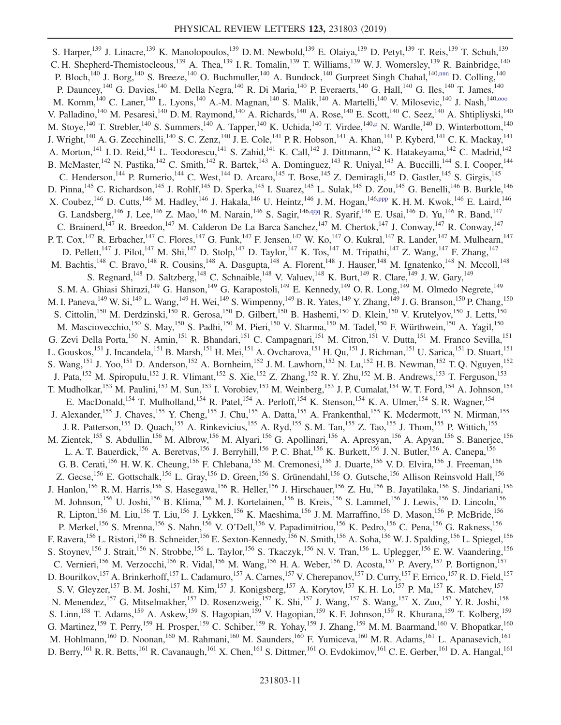<span id="page-10-3"></span><span id="page-10-2"></span><span id="page-10-1"></span><span id="page-10-0"></span>S. Harper,<sup>139</sup> J. Linacre,<sup>139</sup> K. Manolopoulos,<sup>139</sup> D. M. Newbold,<sup>139</sup> E. Olaiya,<sup>139</sup> D. Petyt,<sup>139</sup> T. Reis,<sup>139</sup> T. Schuh,<sup>139</sup> C. H. Shepherd-Themistocleous,<sup>139</sup> A. Thea,<sup>139</sup> I. R. Tomalin,<sup>139</sup> T. Williams,<sup>139</sup> W. J. Womersley,<sup>139</sup> R. Bainbridge,<sup>140</sup> P. Bloch,<sup>140</sup> J. Borg,<sup>140</sup> S. Breeze,<sup>140</sup> O. Buchmuller,<sup>140</sup> A. Bundock,<sup>140</sup> Gurpreet Singh Chahal,<sup>140[,nnn](#page-16-45)</sup> D. Colling,<sup>140</sup> P. Dauncey, <sup>140</sup> G. Davies, <sup>140</sup> M. Della Negra, <sup>140</sup> R. Di Maria, <sup>140</sup> P. Everaerts, <sup>140</sup> G. Hall, <sup>140</sup> G. Iles, <sup>140</sup> T. James, <sup>140</sup> M. Komm,<sup>140</sup> C. Laner,<sup>140</sup> L. Lyons,<sup>140</sup> A.-M. Magnan,<sup>140</sup> S. Malik,<sup>140</sup> A. Martelli,<sup>140</sup> V. Milosevic,<sup>140</sup> J. Nash,<sup>140,000</sup> V. Palladino,<sup>140</sup> M. Pesaresi,<sup>140</sup> D. M. Raymond,<sup>140</sup> A. Richards,<sup>140</sup> A. Rose,<sup>140</sup> E. Scott,<sup>140</sup> C. Seez,<sup>140</sup> A. Shtipliyski,<sup>140</sup> M. Stoye,<sup>140</sup> T. Strebler,<sup>140</sup> S. Summers,<sup>140</sup> A. Tapper,<sup>140</sup> K. Uchida,<sup>140</sup> T. Virdee,<sup>140[,p](#page-15-14)</sup> N. Wardle,<sup>140</sup> D. Winterbottom,<sup>140</sup> J. Wright,<sup>140</sup> A. G. Zecchinelli,<sup>140</sup> S. C. Zenz,<sup>140</sup> J. E. Cole,<sup>141</sup> P. R. Hobson,<sup>141</sup> A. Khan,<sup>141</sup> P. Kyberd,<sup>141</sup> C. K. Mackay,<sup>141</sup> A. Morton, <sup>141</sup> I. D. Reid, <sup>141</sup> L. Teodorescu, <sup>141</sup> S. Zahid, <sup>141</sup> K. Call, <sup>142</sup> J. Dittmann, <sup>142</sup> K. Hatakeyama, <sup>142</sup> C. Madrid, <sup>142</sup> B. McMaster,<sup>142</sup> N. Pastika,<sup>142</sup> C. Smith,<sup>142</sup> R. Bartek,<sup>143</sup> A. Dominguez,<sup>143</sup> R. Uniyal,<sup>143</sup> A. Buccilli,<sup>144</sup> S. I. Cooper,<sup>144</sup> C. Henderson,<sup>144</sup> P. Rumerio,<sup>144</sup> C. West,<sup>144</sup> D. Arcaro,<sup>145</sup> T. Bose,<sup>145</sup> Z. Demiragli,<sup>145</sup> D. Gastler,<sup>145</sup> S. Girgis,<sup>145</sup> D. Pinna, <sup>145</sup> C. Richardson, <sup>145</sup> J. Rohlf, <sup>145</sup> D. Sperka, <sup>145</sup> I. Suarez, <sup>145</sup> L. Sulak, <sup>145</sup> D. Zou, <sup>145</sup> G. Benelli, <sup>146</sup> B. Burkle, <sup>146</sup> X. Coubez, <sup>146</sup> D. Cutts, <sup>146</sup> M. Hadley, <sup>146</sup> J. Hakala, <sup>146</sup> U. Heintz, <sup>146</sup> J. M. Hogan, <sup>14[6,ppp](#page-16-47)</sup> K. H. M. Kwok, <sup>146</sup> E. Laird, <sup>146</sup> G. Landsberg,  $^{146}$  J. Lee,  $^{146}$  Z. Mao,  $^{146}$  M. Narain,  $^{146}$  S. Sagir,  $^{146,qqq}$  $^{146,qqq}$  $^{146,qqq}$  R. Syarif,  $^{146}$  E. Usai,  $^{146}$  D. Yu,  $^{146}$  R. Band,  $^{147}$ C. Brainerd,<sup>147</sup> R. Breedon,<sup>147</sup> M. Calderon De La Barca Sanchez,<sup>147</sup> M. Chertok,<sup>147</sup> J. Conway,<sup>147</sup> R. Conway,<sup>147</sup> P. T. Cox,  $^{147}$  R. Erbacher,  $^{147}$  C. Flores,  $^{147}$  G. Funk,  $^{147}$  F. Jensen,  $^{147}$  W. Ko,  $^{147}$  O. Kukral,  $^{147}$  R. Lander,  $^{147}$  M. Mulhearn,  $^{147}$ D. Pellett,<sup>147</sup> J. Pilot,<sup>147</sup> M. Shi,<sup>147</sup> D. Stolp,<sup>147</sup> D. Taylor,<sup>147</sup> K. Tos,<sup>147</sup> M. Tripathi,<sup>147</sup> Z. Wang,<sup>147</sup> F. Zhang,<sup>147</sup> M. Bachtis,<sup>148</sup> C. Bravo,<sup>148</sup> R. Cousins,<sup>148</sup> A. Dasgupta,<sup>148</sup> A. Florent,<sup>148</sup> J. Hauser,<sup>148</sup> M. Ignatenko,<sup>148</sup> N. Mccoll,<sup>148</sup> S. Regnard,<sup>148</sup> D. Saltzberg,<sup>148</sup> C. Schnaible,<sup>148</sup> V. Valuev,<sup>148</sup> K. Burt,<sup>149</sup> R. Clare,<sup>149</sup> J. W. Gary,<sup>149</sup> S. M. A. Ghiasi Shirazi,<sup>149</sup> G. Hanson,<sup>149</sup> G. Karapostoli,<sup>149</sup> E. Kennedy,<sup>149</sup> O. R. Long,<sup>149</sup> M. Olmedo Negrete,<sup>149</sup> M. I. Paneva,<sup>149</sup> W. Si,<sup>149</sup> L. Wang,<sup>149</sup> H. Wei,<sup>149</sup> S. Wimpenny,<sup>149</sup> B. R. Yates,<sup>149</sup> Y. Zhang,<sup>149</sup> J. G. Branson,<sup>150</sup> P. Chang,<sup>150</sup> S. Cittolin,<sup>150</sup> M. Derdzinski,<sup>150</sup> R. Gerosa,<sup>150</sup> D. Gilbert,<sup>150</sup> B. Hashemi,<sup>150</sup> D. Klein,<sup>150</sup> V. Krutelyov,<sup>150</sup> J. Letts,<sup>150</sup> M. Masciovecchio,<sup>150</sup> S. May,<sup>150</sup> S. Padhi,<sup>150</sup> M. Pieri,<sup>150</sup> V. Sharma,<sup>150</sup> M. Tadel,<sup>150</sup> F. Würthwein,<sup>150</sup> A. Yagil,<sup>150</sup> G. Zevi Della Porta,<sup>150</sup> N. Amin,<sup>151</sup> R. Bhandari,<sup>151</sup> C. Campagnari,<sup>151</sup> M. Citron,<sup>151</sup> V. Dutta,<sup>151</sup> M. Franco Sevilla,<sup>151</sup> L. Gouskos,<sup>151</sup> J. Incandela,<sup>151</sup> B. Marsh,<sup>151</sup> H. Mei,<sup>151</sup> A. Ovcharova,<sup>151</sup> H. Qu,<sup>151</sup> J. Richman,<sup>151</sup> U. Sarica,<sup>151</sup> D. Stuart,<sup>151</sup> S. Wang,<sup>151</sup> J. Yoo,<sup>151</sup> D. Anderson,<sup>152</sup> A. Bornheim,<sup>152</sup> J. M. Lawhorn,<sup>152</sup> N. Lu,<sup>152</sup> H. B. Newman,<sup>152</sup> T. Q. Nguyen,<sup>152</sup> J. Pata,<sup>152</sup> M. Spiropulu,<sup>152</sup> J. R. Vlimant,<sup>152</sup> S. Xie,<sup>152</sup> Z. Zhang,<sup>152</sup> R. Y. Zhu,<sup>152</sup> M. B. Andrews,<sup>153</sup> T. Ferguson,<sup>153</sup> T. Mudholkar, <sup>153</sup> M. Paulini, <sup>153</sup> M. Sun, <sup>153</sup> I. Vorobiev, <sup>153</sup> M. Weinberg, <sup>153</sup> J. P. Cumalat, <sup>154</sup> W. T. Ford, <sup>154</sup> A. Johnson, <sup>154</sup> E. MacDonald,<sup>154</sup> T. Mulholland,<sup>154</sup> R. Patel,<sup>154</sup> A. Perloff,<sup>154</sup> K. Stenson,<sup>154</sup> K. A. Ulmer,<sup>154</sup> S. R. Wagner,<sup>154</sup> J. Alexander,<sup>155</sup> J. Chaves,<sup>155</sup> Y. Cheng,<sup>155</sup> J. Chu,<sup>155</sup> A. Datta,<sup>155</sup> A. Frankenthal,<sup>155</sup> K. Mcdermott,<sup>155</sup> N. Mirman,<sup>155</sup> J. R. Patterson,<sup>155</sup> D. Quach,<sup>155</sup> A. Rinkevicius,<sup>155</sup> A. Ryd,<sup>155</sup> S. M. Tan,<sup>155</sup> Z. Tao,<sup>155</sup> J. Thom,<sup>155</sup> P. Wittich,<sup>155</sup> M. Zientek,<sup>155</sup> S. Abdullin,<sup>156</sup> M. Albrow,<sup>156</sup> M. Alyari,<sup>156</sup> G. Apollinari,<sup>156</sup> A. Apresyan,<sup>156</sup> A. Apyan,<sup>156</sup> S. Banerjee,<sup>156</sup> L. A. T. Bauerdick,<sup>156</sup> A. Beretvas,<sup>156</sup> J. Berryhill,<sup>156</sup> P. C. Bhat,<sup>156</sup> K. Burkett,<sup>156</sup> J. N. Butler,<sup>156</sup> A. Canepa,<sup>156</sup> G. B. Cerati,<sup>156</sup> H. W. K. Cheung,<sup>156</sup> F. Chlebana,<sup>156</sup> M. Cremonesi,<sup>156</sup> J. Duarte,<sup>156</sup> V. D. Elvira,<sup>156</sup> J. Freeman,<sup>156</sup> Z. Gecse,<sup>156</sup> E. Gottschalk,<sup>156</sup> L. Gray,<sup>156</sup> D. Green,<sup>156</sup> S. Grünendahl,<sup>156</sup> O. Gutsche,<sup>156</sup> Allison Reinsvold Hall,<sup>156</sup> J. Hanlon,<sup>156</sup> R. M. Harris,<sup>156</sup> S. Hasegawa,<sup>156</sup> R. Heller,<sup>156</sup> J. Hirschauer,<sup>156</sup> Z. Hu,<sup>156</sup> B. Jayatilaka,<sup>156</sup> S. Jindariani,<sup>156</sup> M. Johnson,<sup>156</sup> U. Joshi,<sup>156</sup> B. Klima,<sup>156</sup> M. J. Kortelainen,<sup>156</sup> B. Kreis,<sup>156</sup> S. Lammel,<sup>156</sup> J. Lewis,<sup>156</sup> D. Lincoln,<sup>156</sup> R. Lipton,<sup>156</sup> M. Liu,<sup>156</sup> T. Liu,<sup>156</sup> J. Lykken,<sup>156</sup> K. Maeshima,<sup>156</sup> J. M. Marraffino,<sup>156</sup> D. Mason,<sup>156</sup> P. McBride,<sup>156</sup> P. Merkel,<sup>156</sup> S. Mrenna,<sup>156</sup> S. Nahn,<sup>156</sup> V. O'Dell,<sup>156</sup> V. Papadimitriou,<sup>156</sup> K. Pedro,<sup>156</sup> C. Pena,<sup>156</sup> G. Rakness,<sup>156</sup> F. Ravera, <sup>156</sup> L. Ristori, <sup>156</sup> B. Schneider, <sup>156</sup> E. Sexton-Kennedy, <sup>156</sup> N. Smith, <sup>156</sup> A. Soha, <sup>156</sup> W. J. Spalding, <sup>156</sup> L. Spiegel, <sup>156</sup> S. Stoynev,<sup>156</sup> J. Strait,<sup>156</sup> N. Strobbe,<sup>156</sup> L. Taylor,<sup>156</sup> S. Tkaczyk,<sup>156</sup> N. V. Tran,<sup>156</sup> L. Uplegger,<sup>156</sup> E. W. Vaandering,<sup>156</sup> C. Vernieri,<sup>156</sup> M. Verzocchi,<sup>156</sup> R. Vidal,<sup>156</sup> M. Wang,<sup>156</sup> H. A. Weber,<sup>156</sup> D. Acosta,<sup>157</sup> P. Avery,<sup>157</sup> P. Bortignon,<sup>157</sup> D. Bourilkov,<sup>157</sup> A. Brinkerhoff,<sup>157</sup> L. Cadamuro,<sup>157</sup> A. Carnes,<sup>157</sup> V. Cherepanov,<sup>157</sup> D. Curry,<sup>157</sup> F. Errico,<sup>157</sup> R. D. Field,<sup>157</sup> S. V. Gleyzer,<sup>157</sup> B. M. Joshi,<sup>157</sup> M. Kim,<sup>157</sup> J. Konigsberg,<sup>157</sup> A. Korytov,<sup>157</sup> K. H. Lo,<sup>157</sup> P. Ma,<sup>157</sup> K. Matchev,<sup>157</sup> N. Menendez,<sup>157</sup> G. Mitselmakher,<sup>157</sup> D. Rosenzweig,<sup>157</sup> K. Shi,<sup>157</sup> J. Wang,<sup>157</sup> S. Wang,<sup>157</sup> X. Zuo,<sup>157</sup> Y. R. Joshi,<sup>158</sup> S. Linn,<sup>158</sup> T. Adams,<sup>159</sup> A. Askew,<sup>159</sup> S. Hagopian,<sup>159</sup> V. Hagopian,<sup>159</sup> K. F. Johnson,<sup>159</sup> R. Khurana,<sup>159</sup> T. Kolberg,<sup>159</sup> G. Martinez,<sup>159</sup> T. Perry,<sup>159</sup> H. Prosper,<sup>159</sup> C. Schiber,<sup>159</sup> R. Yohay,<sup>159</sup> J. Zhang,<sup>159</sup> M. M. Baarmand,<sup>160</sup> V. Bhopatkar,<sup>160</sup> M. Hohlmann,<sup>160</sup> D. Noonan,<sup>160</sup> M. Rahmani,<sup>160</sup> M. Saunders,<sup>160</sup> F. Yumiceva,<sup>160</sup> M. R. Adams,<sup>161</sup> L. Apanasevich,<sup>161</sup> D. Berry, <sup>161</sup> R. R. Betts, <sup>161</sup> R. Cavanaugh, <sup>161</sup> X. Chen, <sup>161</sup> S. Dittmer, <sup>161</sup> O. Evdokimov, <sup>161</sup> C. E. Gerber, <sup>161</sup> D. A. Hangal, <sup>161</sup>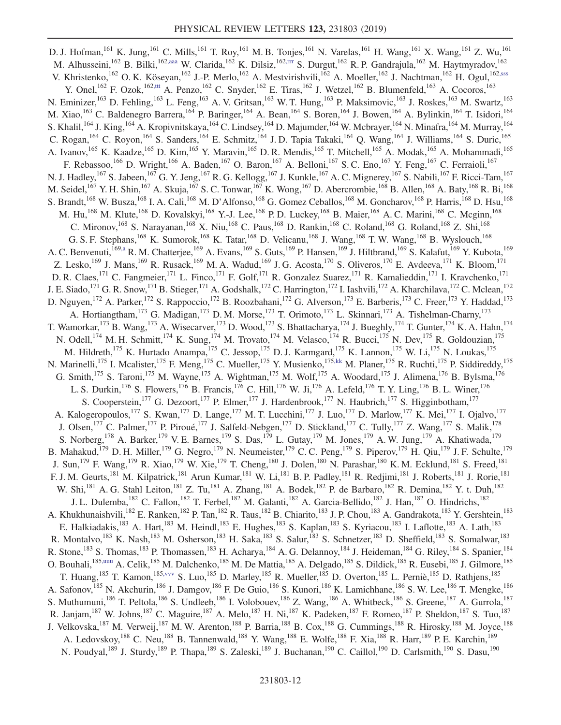<span id="page-11-4"></span><span id="page-11-3"></span><span id="page-11-2"></span><span id="page-11-1"></span><span id="page-11-0"></span>D. J. Hofman,<sup>161</sup> K. Jung,<sup>161</sup> C. Mills,<sup>161</sup> T. Roy,<sup>161</sup> M. B. Tonjes,<sup>161</sup> N. Varelas,<sup>161</sup> H. Wang,<sup>161</sup> X. Wang,<sup>161</sup> Z. Wu,<sup>161</sup> M. Alhusseini,<sup>162</sup> B. Bilki,<sup>162[,aaa](#page-16-32)</sup> W. Clarida,<sup>162</sup> K. Dilsiz,<sup>162[,rrr](#page-16-49)</sup> S. Durgut,<sup>162</sup> R. P. Gandrajula,<sup>162</sup> M. Haytmyradov,<sup>162</sup> V. Khristenko,<sup>162</sup> O. K. Köseyan,<sup>162</sup> J.-P. Merlo,<sup>162</sup> A. Mestvirishvili,<sup>162</sup> A. Moeller,<sup>162</sup> J. Nachtman,<sup>162</sup> H. Ogul,<sup>16[2,sss](#page-16-50)</sup> Y. Onel,<sup>162</sup> F. Ozok,<sup>162[,ttt](#page-16-51)</sup> A. Penzo,<sup>162</sup> C. Snyder,<sup>162</sup> E. Tiras,<sup>162</sup> J. Wetzel,<sup>162</sup> B. Blumenfeld,<sup>163</sup> A. Cocoros,<sup>163</sup> N. Eminizer,<sup>163</sup> D. Fehling,<sup>163</sup> L. Feng,<sup>163</sup> A. V. Gritsan,<sup>163</sup> W. T. Hung,<sup>163</sup> P. Maksimovic,<sup>163</sup> J. Roskes,<sup>163</sup> M. Swartz,<sup>163</sup> M. Xiao, <sup>163</sup> C. Baldenegro Barrera, <sup>164</sup> P. Baringer, <sup>164</sup> A. Bean, <sup>164</sup> S. Boren, <sup>164</sup> J. Bowen, <sup>164</sup> A. Bylinkin, <sup>164</sup> T. Isidori, <sup>164</sup> S. Khalil,<sup>164</sup> J. King,<sup>164</sup> A. Kropivnitskaya,<sup>164</sup> C. Lindsey,<sup>164</sup> D. Majumder,<sup>164</sup> W. Mcbrayer,<sup>164</sup> N. Minafra,<sup>164</sup> M. Murray,<sup>164</sup> C. Rogan,<sup>164</sup> C. Royon,<sup>164</sup> S. Sanders,<sup>164</sup> E. Schmitz,<sup>164</sup> J. D. Tapia Takaki,<sup>164</sup> Q. Wang,<sup>164</sup> J. Williams,<sup>164</sup> S. Duric,<sup>165</sup> A. Ivanov,<sup>165</sup> K. Kaadze,<sup>165</sup> D. Kim,<sup>165</sup> Y. Maravin,<sup>165</sup> D. R. Mendis,<sup>165</sup> T. Mitchell,<sup>165</sup> A. Modak,<sup>165</sup> A. Mohammadi,<sup>165</sup> F. Rebassoo,<sup>166</sup> D. Wright,<sup>166</sup> A. Baden,<sup>167</sup> O. Baron,<sup>167</sup> A. Belloni,<sup>167</sup> S.C. Eno,<sup>167</sup> Y. Feng,<sup>167</sup> C. Ferraioli,<sup>167</sup> N. J. Hadley,<sup>167</sup> S. Jabeen,<sup>167</sup> G. Y. Jeng,<sup>167</sup> R. G. Kellogg,<sup>167</sup> J. Kunkle,<sup>167</sup> A. C. Mignerey,<sup>167</sup> S. Nabili,<sup>167</sup> F. Ricci-Tam,<sup>167</sup> M. Seidel,<sup>167</sup> Y. H. Shin,<sup>167</sup> A. Skuja,<sup>167</sup> S. C. Tonwar,<sup>167</sup> K. Wong,<sup>167</sup> D. Abercrombie,<sup>168</sup> B. Allen,<sup>168</sup> A. Baty,<sup>168</sup> R. Bi,<sup>168</sup> S. Brandt,<sup>168</sup> W. Busza,<sup>168</sup> I. A. Cali,<sup>168</sup> M. D'Alfonso,<sup>168</sup> G. Gomez Ceballos,<sup>168</sup> M. Goncharov,<sup>168</sup> P. Harris,<sup>168</sup> D. Hsu,<sup>168</sup> M. Hu,<sup>168</sup> M. Klute,<sup>168</sup> D. Kovalskyi,<sup>168</sup> Y.-J. Lee,<sup>168</sup> P.D. Luckey,<sup>168</sup> B. Maier,<sup>168</sup> A. C. Marini,<sup>168</sup> C. Mcginn,<sup>168</sup> C. Mironov,<sup>168</sup> S. Narayanan,<sup>168</sup> X. Niu,<sup>168</sup> C. Paus,<sup>168</sup> D. Rankin,<sup>168</sup> C. Roland,<sup>168</sup> G. Roland,<sup>168</sup> Z. Shi,<sup>168</sup> G. S. F. Stephans,<sup>168</sup> K. Sumorok,<sup>168</sup> K. Tatar,<sup>168</sup> D. Velicanu,<sup>168</sup> J. Wang,<sup>168</sup> T. W. Wang,<sup>168</sup> B. Wyslouch,<sup>168</sup> A. C. Benvenuti, 16[9,a](#page-15-0) R. M. Chatterjee, 169 A. Evans, <sup>169</sup> S. Guts, <sup>169</sup> P. Hansen, <sup>169</sup> J. Hiltbrand, <sup>169</sup> S. Kalafut, <sup>169</sup> Y. Kubota, <sup>169</sup> Z. Lesko,<sup>169</sup> J. Mans,<sup>169</sup> R. Rusack,<sup>169</sup> M. A. Wadud,<sup>169</sup> J. G. Acosta,<sup>170</sup> S. Oliveros,<sup>170</sup> E. Avdeeva,<sup>171</sup> K. Bloom,<sup>171</sup> D. R. Claes, <sup>171</sup> C. Fangmeier, <sup>171</sup> L. Finco, <sup>171</sup> F. Golf, <sup>171</sup> R. Gonzalez Suarez, <sup>171</sup> R. Kamalieddin, <sup>171</sup> I. Kravchenko, <sup>171</sup> J. E. Siado,<sup>171</sup> G. R. Snow,<sup>171</sup> B. Stieger,<sup>171</sup> A. Godshalk,<sup>172</sup> C. Harrington,<sup>172</sup> I. Iashvili,<sup>172</sup> A. Kharchilava,<sup>172</sup> C. Mclean,<sup>172</sup> D. Nguyen,<sup>172</sup> A. Parker,<sup>172</sup> S. Rappoccio,<sup>172</sup> B. Roozbahani,<sup>172</sup> G. Alverson,<sup>173</sup> E. Barberis,<sup>173</sup> C. Freer,<sup>173</sup> Y. Haddad,<sup>173</sup> A. Hortiangtham,<sup>173</sup> G. Madigan,<sup>173</sup> D. M. Morse,<sup>173</sup> T. Orimoto,<sup>173</sup> L. Skinnari,<sup>173</sup> A. Tishelman-Charny,<sup>173</sup> T. Wamorkar,<sup>173</sup> B. Wang,<sup>173</sup> A. Wisecarver,<sup>173</sup> D. Wood,<sup>173</sup> S. Bhattacharya,<sup>174</sup> J. Bueghly,<sup>174</sup> T. Gunter,<sup>174</sup> K. A. Hahn,<sup>174</sup> N. Odell,<sup>174</sup> M. H. Schmitt,<sup>174</sup> K. Sung,<sup>174</sup> M. Trovato,<sup>174</sup> M. Velasco,<sup>174</sup> R. Bucci,<sup>175</sup> N. Dev,<sup>175</sup> R. Goldouzian,<sup>175</sup> M. Hildreth,<sup>175</sup> K. Hurtado Anampa,<sup>175</sup> C. Jessop,<sup>175</sup> D. J. Karmgard,<sup>175</sup> K. Lannon,<sup>175</sup> W. Li,<sup>175</sup> N. Loukas,<sup>175</sup> N. Marinelli,<sup>175</sup> I. Mcalister,<sup>175</sup> F. Meng,<sup>175</sup> C. Mueller,<sup>175</sup> Y. Musienko,<sup>175[,kk](#page-16-16)</sup> M. Planer,<sup>175</sup> R. Ruchti,<sup>175</sup> P. Siddireddy,<sup>175</sup> G. Smith,<sup>175</sup> S. Taroni,<sup>175</sup> M. Wayne,<sup>175</sup> A. Wightman,<sup>175</sup> M. Wolf,<sup>175</sup> A. Woodard,<sup>175</sup> J. Alimena,<sup>176</sup> B. Bylsma,<sup>176</sup> L. S. Durkin,<sup>176</sup> S. Flowers,<sup>176</sup> B. Francis,<sup>176</sup> C. Hill,<sup>176</sup> W. Ji,<sup>176</sup> A. Lefeld,<sup>176</sup> T. Y. Ling,<sup>176</sup> B. L. Winer,<sup>176</sup> S. Cooperstein,<sup>177</sup> G. Dezoort,<sup>177</sup> P. Elmer,<sup>177</sup> J. Hardenbrook,<sup>177</sup> N. Haubrich,<sup>177</sup> S. Higginbotham,<sup>177</sup> A. Kalogeropoulos,<sup>177</sup> S. Kwan,<sup>177</sup> D. Lange,<sup>177</sup> M. T. Lucchini,<sup>177</sup> J. Luo,<sup>177</sup> D. Marlow,<sup>177</sup> K. Mei,<sup>177</sup> I. Ojalvo,<sup>177</sup> J. Olsen,<sup>177</sup> C. Palmer,<sup>177</sup> P. Piroué,<sup>177</sup> J. Salfeld-Nebgen,<sup>177</sup> D. Stickland,<sup>177</sup> C. Tully,<sup>177</sup> Z. Wang,<sup>177</sup> S. Malik,<sup>178</sup> S. Norberg,<sup>178</sup> A. Barker,<sup>179</sup> V. E. Barnes,<sup>179</sup> S. Das,<sup>179</sup> L. Gutay,<sup>179</sup> M. Jones,<sup>179</sup> A. W. Jung,<sup>179</sup> A. Khatiwada,<sup>179</sup> B. Mahakud,<sup>179</sup> D. H. Miller,<sup>179</sup> G. Negro,<sup>179</sup> N. Neumeister,<sup>179</sup> C. C. Peng,<sup>179</sup> S. Piperov,<sup>179</sup> H. Qiu,<sup>179</sup> J. F. Schulte,<sup>179</sup> J. Sun,<sup>179</sup> F. Wang,<sup>179</sup> R. Xiao,<sup>179</sup> W. Xie,<sup>179</sup> T. Cheng,<sup>180</sup> J. Dolen,<sup>180</sup> N. Parashar,<sup>180</sup> K. M. Ecklund,<sup>181</sup> S. Freed,<sup>181</sup> F. J. M. Geurts,<sup>181</sup> M. Kilpatrick,<sup>181</sup> Arun Kumar,<sup>181</sup> W. Li,<sup>181</sup> B. P. Padley,<sup>181</sup> R. Redjimi,<sup>181</sup> J. Roberts,<sup>181</sup> J. Rorie,<sup>181</sup> W. Shi,<sup>181</sup> A. G. Stahl Leiton,<sup>181</sup> Z. Tu,<sup>181</sup> A. Zhang,<sup>181</sup> A. Bodek,<sup>182</sup> P. de Barbaro,<sup>182</sup> R. Demina,<sup>182</sup> Y. t. Duh,<sup>182</sup> J. L. Dulemba, <sup>182</sup> C. Fallon, <sup>182</sup> T. Ferbel, <sup>182</sup> M. Galanti, <sup>182</sup> A. Garcia-Bellido, <sup>182</sup> J. Han, <sup>182</sup> O. Hindrichs, <sup>182</sup> A. Khukhunaishvili,<sup>182</sup> E. Ranken,<sup>182</sup> P. Tan,<sup>182</sup> R. Taus,<sup>182</sup> B. Chiarito,<sup>183</sup> J. P. Chou,<sup>183</sup> A. Gandrakota,<sup>183</sup> Y. Gershtein,<sup>183</sup> E. Halkiadakis,<sup>183</sup> A. Hart,<sup>183</sup> M. Heindl,<sup>183</sup> E. Hughes,<sup>183</sup> S. Kaplan,<sup>183</sup> S. Kyriacou,<sup>183</sup> I. Laflotte,<sup>183</sup> A. Lath,<sup>183</sup> R. Montalvo,<sup>183</sup> K. Nash,<sup>183</sup> M. Osherson,<sup>183</sup> H. Saka,<sup>183</sup> S. Salur,<sup>183</sup> S. Schnetzer,<sup>183</sup> D. Sheffield,<sup>183</sup> S. Somalwar,<sup>183</sup> R. Stone,<sup>183</sup> S. Thomas,<sup>183</sup> P. Thomassen,<sup>183</sup> H. Acharya,<sup>184</sup> A. G. Delannoy,<sup>184</sup> J. Heideman,<sup>184</sup> G. Riley,<sup>184</sup> S. Spanier,<sup>184</sup> O. Bouhali, <sup>18[5,uuu](#page-16-52)</sup> A. Celik, <sup>185</sup> M. Dalchenko, <sup>185</sup> M. De Mattia, <sup>185</sup> A. Delgado, <sup>185</sup> S. Dildick, <sup>185</sup> R. Eusebi, <sup>185</sup> J. Gilmore, <sup>185</sup> T. Huang,<sup>185</sup> T. Kamon,<sup>185[,vvv](#page-16-53)</sup> S. Luo,<sup>185</sup> D. Marley,<sup>185</sup> R. Mueller,<sup>185</sup> D. Overton,<sup>185</sup> L. Perniè,<sup>185</sup> D. Rathjens,<sup>185</sup> A. Safonov, <sup>185</sup> N. Akchurin, <sup>186</sup> J. Damgov, <sup>186</sup> F. De Guio, <sup>186</sup> S. Kunori, <sup>186</sup> K. Lamichhane, <sup>186</sup> S. W. Lee, <sup>186</sup> T. Mengke, <sup>186</sup> S. Muthumuni,<sup>186</sup> T. Peltola,<sup>186</sup> S. Undleeb,<sup>186</sup> I. Volobouev,<sup>186</sup> Z. Wang,<sup>186</sup> A. Whitbeck,<sup>186</sup> S. Greene,<sup>187</sup> A. Gurrola,<sup>187</sup> R. Janjam,<sup>187</sup> W. Johns,<sup>187</sup> C. Maguire,<sup>187</sup> A. Melo,<sup>187</sup> H. Ni,<sup>187</sup> K. Padeken,<sup>187</sup> F. Romeo,<sup>187</sup> P. Sheldon,<sup>187</sup> S. Tuo,<sup>187</sup> J. Velkovska,<sup>187</sup> M. Verweij,<sup>187</sup> M. W. Arenton,<sup>188</sup> P. Barria,<sup>188</sup> B. Cox,<sup>188</sup> G. Cummings,<sup>188</sup> R. Hirosky,<sup>188</sup> M. Joyce,<sup>188</sup> A. Ledovskoy,<sup>188</sup> C. Neu,<sup>188</sup> B. Tannenwald,<sup>188</sup> Y. Wang,<sup>188</sup> E. Wolfe,<sup>188</sup> F. Xia,<sup>188</sup> R. Harr,<sup>189</sup> P. E. Karchin,<sup>189</sup> N. Poudyal,<sup>189</sup> J. Sturdy,<sup>189</sup> P. Thapa,<sup>189</sup> S. Zaleski,<sup>189</sup> J. Buchanan,<sup>190</sup> C. Caillol,<sup>190</sup> D. Carlsmith,<sup>190</sup> S. Dasu,<sup>190</sup>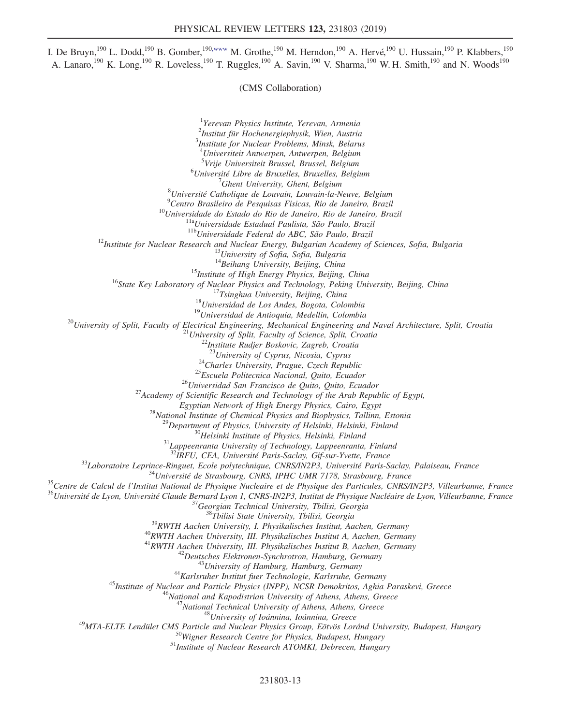<span id="page-12-0"></span>I. De Bruyn,<sup>190</sup> L. Dodd,<sup>190</sup> B. Gomber,<sup>19[0,www](#page-16-54)</sup> M. Grothe,<sup>190</sup> M. Herndon,<sup>190</sup> A. Hervé,<sup>190</sup> U. Hussain,<sup>190</sup> P. Klabbers,<sup>190</sup> A. Lanaro,<sup>190</sup> K. Long,<sup>190</sup> R. Loveless,<sup>190</sup> T. Ruggles,<sup>190</sup> A. Savin,<sup>190</sup> V. Sharma,<sup>190</sup> W. H. Smith,<sup>190</sup> and N. Woods<sup>190</sup>

(CMS Collaboration)

<sup>1</sup>Yerevan Physics Institute, Yerevan, Armenia 2 Institut für Hochenergiephysik, Wien, Austria 3 Institute for Nuclear Problems, Minsk, Belarus <sup>4</sup>Universiteit Antwerpen, Antwerpen, Belgium <sup>5</sup>Vrije Universiteit Brussel, Brussel, Belgium<br><sup>6</sup>Université Libre de Bruxelles, Bruxelles, Belgium <sup>6</sup>Université Libre de Bruxelles, Bruxelles, Belgium  $\frac{7}{7}$ Ghent University, Ghent, Belgium  $'$ Ghent University, Ghent, Belgium<br><sup>8</sup>Université Catholique de Louvain, Louvain la N  $^8$ Université Catholique de Louvain, Louvain-la-Neuve, Belgium  $^9$ Cantre Presileire de Possileire <sup>9</sup>Centro Brasileiro de Pesquisas Fisicas, Rio de Janeiro, Brazil<br><sup>10</sup>Universidade do Estado do Rio de Janeiro, Rio de Janeiro, Brazil<br><sup>11a</sup>Universidade Estadual Paulista, São Paulo, Brazil<br><sup>11b</sup>Universidade Federal do AB <sup>15</sup>Institute of High Energy Physics, Beijing, China<br><sup>16</sup>State Key Laboratory of Nuclear Physics and Technology, Peking University, Beijing, China<br><sup>17</sup>Tsinghua University, Beijing, China<br><sup>18</sup>Universidad de Los Andes, Bogo <sup>24</sup>Charles University, Prague, Czech Republic<br><sup>25</sup>Escuela Politecnica Nacional, Quito, Ecuador<br><sup>26</sup>Universidad San Francisco de Quito, Quito, Ecuador<br><sup>27</sup>Academy of Scientific Research and Technology of the Arab Republic Egyptian Network of High Energy Physics, Cairo, Egypt<br><sup>28</sup>National Institute of Chemical Physics and Biophysics, Tallinn, Estonia<br><sup>29</sup>Department of Physics, University of Helsinki, Helsinki, Finland<br><sup>30</sup>Helsinki Institute  $\begin{array}{r} \begin{array}{r} \begin{array}{r} \begin{array}{r} \begin{array}{r} \begin{array}{r} \begin{array}{r} \begin{array}{r} \begin{array}{r} \begin{array}{r} \begin{array}{r} \begin{array}{r} \begin{array}{r} \begin{array}{r} \begin{array}{r} \begin{array}{r} \begin{array}{r} \end{array}{r} \end{array}_{i} \end{array}_{i} \end{array}_{i} \end{array}_{i} \end{array}_{i} \end{array}_{i} \end{array}_{i} \end{array}_{i} \end{array}_{i} \end{array}_{i} \end{array}_{i} \end{array}_{i} \end{array}_{i} \end{$  $\begin{array}{c} ^{42}Deutsches Elektronen-Synchrotron, Hamburg, Germany \\ \begin{array}{c} ^{43} University \ of Hamburg, Hamburg, Germany \\ ^{44} Karlsruher Institute \ if\ Cechnologie, Karlsruhe, Germany \\ ^{45} Institute \ of Nuclear and Particle Physics (INPP), NCSR Demokritos, Aghia Paraskevi, Greece \\ \begin{array}{c} ^{45} National and Kapodistrian University \ of Athens, Athens, Greece \\ ^{46} National Technical University \ of Athens, Athens, Greece \\ ^{47} University \ of Ioánnina, Ioánnina, Greece \\ ^{48} University \ of Ioánnina, Goánnina, Greece \\ ^{48} University of Ioánnina, Science \\ ^{49} MTA-ELTE Lendület$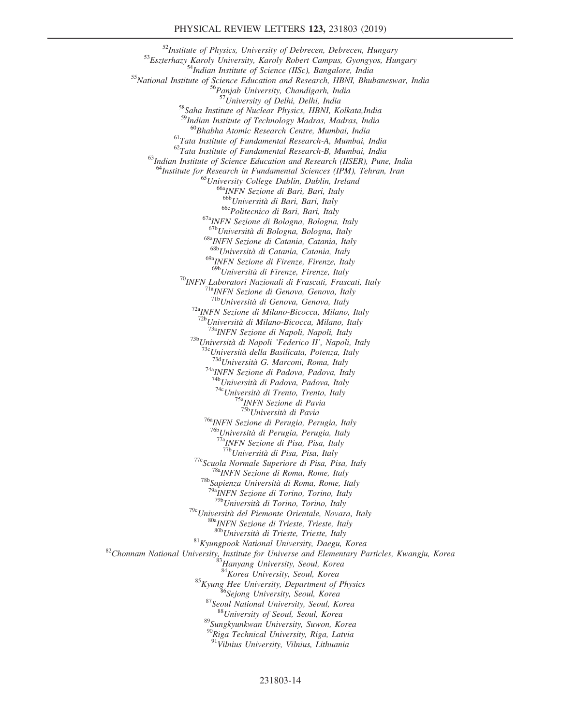<sup>52</sup>Institute of Physics, University of Debrecen, Debrecen, Hungary<br><sup>53</sup>Eszterhazy Karoly University, Karoly Robert Campus, Gyongyos, Hungary<br><sup>54</sup>Indian Institute of Science (IISc), Bangalore, India<br><sup>55</sup>National Institute <sup>58</sup>Saha Institute of Nuclear Physics, HBNI, Kolkata,India <sup>59</sup>Indian Institute of Technology Madras, Madras, India<br><sup>60</sup>Bhabha Atomic Research Centre, Mumbai, India <sup>61</sup>Tata Institute of Fundamental Research-A, Mumbai, India  $^{62}$ Tata Institute of Fundamental Research-B, Mumbai, India  $^{63}$ Indian Institute of Science Education and Research (IISER), Pune, India <sup>4</sup>Institute for Research in Fundamental Sciences (IPM), Tehran, Iran <sup>65</sup>University College Dublin, Dublin, Ireland <sup>66a</sup>INFN Sezione di Bari, Bari, Italy <sup>66b</sup>Università di Bari, Bari, Italy <sup>66c</sup>Politecnico di Bari, Bari, Italy<br><sup>67a</sup>INFN Sezione di Bologna, Bologna, Italy <sup>67b</sup>Università di Bologna, Bologna, Italy <sup>68a</sup>INFN Sezione di Catania, Catania, Italy <sup>68b</sup>Università di Catania, Catania, Italy <sup>69a</sup>INFN Sezione di Firenze, Firenze, Italy<br><sup>69b</sup>Università di Firenze, Firenze, Italy <sup>70</sup>INFN Laboratori Nazionali di Frascati, Frascati, Italy <sup>71a</sup>INFN Sezione di Genova, Genova, Italy <sup>71b</sup>Università di Genova, Genova, Italy <sup>72a</sup>INFN Sezione di Milano-Bicocca, Milano, Italy  $^{72b}$ Università di Milano-Bicocca, Milano, Italy <sup>73a</sup>INFN Sezione di Napoli, Napoli, Italy<br><sup>73b</sup>Università di Napoli 'Federico II', Napoli, Italy<br><sup>73</sup><sup>C</sup>Università della Basilicata, Potenza, Italy<br><sup>734</sup>Università G. Marconi, Roma, Italy<br><sup>74a</sup>INFN Sezione di Padova, Pad <sup>74c</sup>Università di Trento, Trento, Italy<br><sup>75a</sup>INFN Sezione di Pavia<br><sup>75b</sup>Università di Pavia <sup>76a</sup>INFN Sezione di Perugia, Perugia, Italy<br><sup>76b</sup>Università di Perugia, Perugia, Italy  $^{77a}NFN$  Sezione di Pisa, Pisa, Italy  $^{77b}Università$  di Pisa, Pisa, Italy <sup>77c</sup>Scuola Normale Superiore di Pisa, Pisa, Italy <sup>78a</sup>INFN Sezione di Roma, Rome, Italy <sup>78b</sup>Sapienza Università di Roma, Rome, Italy <sup>79a</sup>INFN Sezione di Torino, Torino, Italy <sup>79b</sup>Università di Torino, Torino, Italy <sup>79c</sup>Università del Piemonte Orientale, Novara, Italy  $^{80a}$ INFN Sezione di Trieste, Trieste, Italy  $^{80b}$ Università di Trieste, Trieste, Italy  $^{81}$ Kyungpook National University, Daegu, Korea  $^{82}$ Chonnam National University, Institute for Universe and Elementary Particles, Kwangju, Korea  $^{83}$ Hanyang University, Seoul, Korea 83Hanyang University, Seoul, Kore <sup>85</sup>Kyung Hee University, Department of Physics<br><sup>86</sup>Sejong University, Seoul, Korea <sup>87</sup>Seoul National University, Seoul, Korea <sup>88</sup>University of Seoul, Seoul, Korea <sup>89</sup>Sungkyunkwan University, Suwon, Korea  $^{90}$ Riga Technical University, Riga, Latvia  $91$ Vilnius University, Vilnius, Lithuania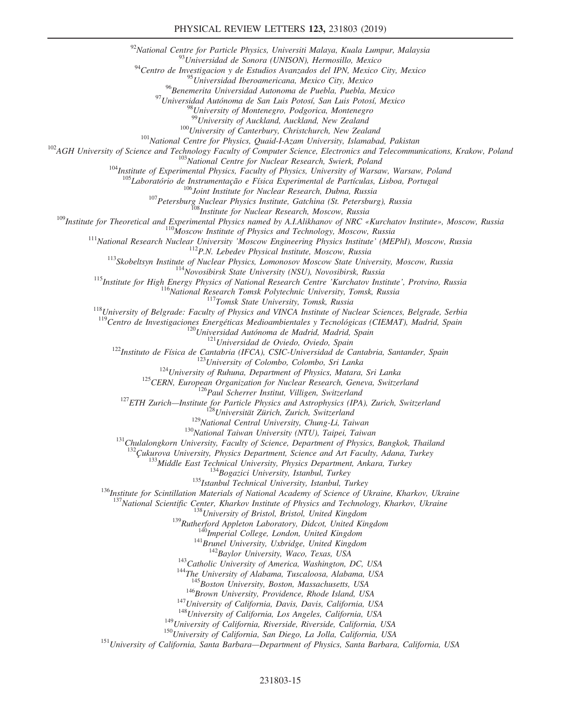<sup>92</sup>National Centre for Particle Physics, Universiti Malaya, Kuala Lumpur, Malaysia<br><sup>93</sup>Universidad de Sonora (UNISON), Hermosillo, Mexico<br><sup>94</sup>Centro de Investigacion y de Estudios Avanzados del IPN, Mexico City, Mexico

<sup>95</sup>Universidad Iberoamericana, Mexico City, Mexico<br><sup>96</sup>Benemerita Universidad Autonoma de Puebla, Puebla, Mexico

<sup>97</sup>Universidad Autónoma de San Luis Potosí, San Luis Potosí, Mexico <sup>98</sup>University of Montenegro, Podgorica, Montenegro<br><sup>99</sup>University of Auckland, Auckland, New Zealand

<sup>100</sup>University of Canterbury, Christchurch, New Zealand<br><sup>101</sup>National Centre for Physics, Quaid-I-Azam University, Islamabad, Pakistan<br><sup>102</sup>AGH University of Science and Technology Faculty of Computer Science, Electronic

 $\begin{array}{c} \text{^{108}Joint Institute for Nuclear Research, Dubna, Russia} \\ \text{^{109}Petersburg Nuclear Physics Institute, Gatchina (St. Petersburg), Russia} \\ \text{^{109} Institute for Theoretical and Experimental Physics named by A.LAlikhanov of NRC «Kusia \\ \text{^{109}Mostational Research Muclear University} \\ \text{^{110}Moscov Institute for Physical University of Physics and Technology, Moscow, Russia} \\ \text{^{111}Mational Research Nuclear University of Physics and Technology, Moscow, Russia} \\ \text{^{112}PN. Lebedev Physics and Technology, Moscow, Russia} \\ \text{^{113}Skobeltsyn Institute of Nuclear University of Association of the Wulera Physics (Lomorsoov) Moscow State University (MSU), Novosibirsk$ 

<sup>122</sup>Instituto de Física de Cantabria (IFCA), CSIC-Universidad de Cantabria, Spain<br><sup>121</sup>Universidad de Oviedo, Oviedo, Spain<br><sup>122</sup>Instituto de Física de Cantabria (IFCA), CSIC-Universidad de Cantabria, Santander, Spain<br><sup>1</sup>

<sup>133</sup>Middle East Technical University, Physics Department, Ankara, Turkey<br><sup>134</sup>Bogazici University, Istanbul, Turkey<br><sup>135</sup>Istanbul Technical University, Istanbul, Turkey<br><sup>136</sup>Institute for Scintillation Materials of Natio

<sup>137</sup>National Scientific Center, Kharkov Institute of Physics and Technology, Kharkov, Ukraine <sup>138</sup>University of Bristol, Bristol, United Kingdom <sup>139</sup>Rutherford Appleton Laboratory, Didcot, United Kingdom <sup>140</sup>Imperial College, London, United Kingdom <sup>141</sup>Brunel University, Uxbridge, United Kingdom <sup>142</sup>Baylor University, Waco, Texas, USA <sup>143</sup>Catholic University of America, Washington, DC, USA <sup>144</sup>The University of Alabama, Tuscaloosa, Alabama, USA

<sup>146</sup>Brown University, Providence, Rhode Island, USA<br><sup>147</sup>University of California, Davis, Davis, California, USA<br><sup>148</sup>University of California, Los Angeles, California, USA<br><sup>149</sup>University of California, Riverside, Rivers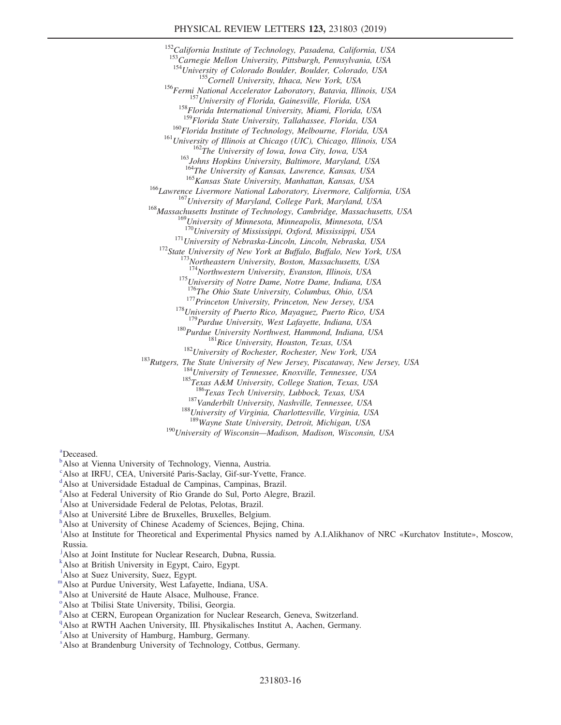<sup>152</sup>California Institute of Technology, Pasadena, California, USA  $^{153}$ Carnegie Mellon University, Pittsburgh, Pennsylvania, USA<br> $^{154}$ University of Colorado Boulder, Boulder, Colorado, USA <sup>155</sup>Cornell University, Ithaca, New York, USA<br><sup>156</sup>Fermi National Accelerator Laboratory, Batavia, Illinois, USA<br><sup>157</sup>University of Florida, Gainesville, Florida, USA<br><sup>158</sup>Florida International University, Miami, Florida <sup>160</sup>Florida Institute of Technology, Melbourne, Florida, USA<br><sup>161</sup>University of Illinois at Chicago (UIC), Chicago, Illinois, USA<br><sup>162</sup>The University of Iowa, Iowa City, Iowa, USA<br><sup>163</sup>Johns Hopkins University, Baltimore <sup>165</sup> Kansas State University, Manhattan, Kansas, USA<br><sup>166</sup> Lawrence Livermore National Laboratory, Livermore, California, USA<br><sup>167</sup> University of Maryland, College Park, Maryland, USA<br><sup>168</sup> Massachusetts Institute of Tec  $^{169}$ University of Minnesota, Minneapolis, Minnesota, USA<br> $^{170}$ University of Mississippi, Oxford, Mississippi, USA  $^{171}$ University of Nebraska-Lincoln, Lincoln, Nebraska, USA<br> $^{172}$ State University of New York at Buffalo, Buffalo, New York, USA<br> $^{173}$ Northeastern University, Boston, Massachusetts, USA <sup>174</sup>Northwestern University, Evanston, Illinois, USA<br><sup>175</sup>University of Notre Dame, Notre Dame, Indiana, USA<br><sup>176</sup>The Ohio State University, Columbus, Ohio, USA <sup>177</sup>Princeton University, Princeton, New Jersey, USA <sup>178</sup>University of Puerto Rico, Mayaguez, Puerto Rico, USA <sup>179</sup>Purdue University, West Lafayette, Indiana, USA <sup>180</sup>Purdue University Northwest, Hammond, Indiana, USA<br><sup>181</sup>Rice University, Houston, Texas, USA<br><sup>182</sup>University of Rochester, Rochester, New York, USA<br><sup>183</sup>Rutgers, The State University of New Jersey, Piscataway, New Je <sup>187</sup>Vanderbilt University, Nashville, Tennessee, USA <sup>188</sup>University of Virginia, Charlottesville, Virginia, USA <sup>189</sup>Wayne State University, Detroit, Michigan, USA

<sup>190</sup>University of Wisconsin—Madison, Madison, Wisconsin, USA

<span id="page-15-0"></span>[a](#page-5-22) Deceased.

<span id="page-15-1"></span><sup>[b](#page-5-23)</sup>Also at Vienna University of Technology, Vienna, Austria.

<span id="page-15-2"></span><sup>[c](#page-5-24)</sup>Also at IRFU, CEA, Université Paris-Saclay, Gif-sur-Yvette, France.

- <span id="page-15-3"></span>Also at Universidade Estadual de Campinas, Campinas, Brazil.
- <span id="page-15-4"></span>[e](#page-6-1) Also at Federal University of Rio Grande do Sul, Porto Alegre, Brazil.
- <span id="page-15-5"></span>[f](#page-6-2) Also at Universidade Federal de Pelotas, Pelotas, Brazil.
- <span id="page-15-6"></span><sup>[g](#page-6-3)</sup> Also at Université Libre de Bruxelles, Bruxelles, Belgium.<br>[h](#page-6-4) Also et University of Chinese Acedemy of Sciences, Beijn
- <span id="page-15-7"></span>h Also at University of Chinese Academy of Sciences, Bejing, China.
- <span id="page-15-8"></span><sup>[i](#page-6-5)</sup>Also at Institute for Theoretical and Experimental Physics named by A.I.Alikhanov of NRC «Kurchatov Institute», Moscow, Russia.
- <span id="page-15-9"></span><sup>[j](#page-6-6)</sup>Also at Joint Institute for Nuclear Research, Dubna, Russia.
- <span id="page-15-10"></span>[k](#page-6-7) Also at British University in Egypt, Cairo, Egypt.
- <sup>1</sup>Also at Suez University, Suez, Egypt.
- <span id="page-15-11"></span>[m](#page-6-8)Also at Purdue University, West Lafayette, Indiana, USA.
- <span id="page-15-12"></span><sup>[n](#page-6-9)</sup> Als[o](#page-6-6) at Université de Haute Alsace, Mulhouse, France.
- <span id="page-15-13"></span><sup>o</sup>Also at Tbilisi State University, Tbilisi, Georgia.
- <span id="page-15-14"></span><su[p](#page-6-10)>p</sup>Also at CERN, European Organization for Nuclear Research, Geneva, Switzerland.
- <span id="page-15-15"></span><sup>[q](#page-6-11)</sup>Also at RWTH Aachen University, III. Physikalisches Institut A, Aachen, Germany.
- <span id="page-15-16"></span><sup>[r](#page-6-12)</sup> Also at University of Hamburg, Hamburg, Germany.
- <span id="page-15-17"></span>[s](#page-6-13) Also at Brandenburg University of Technology, Cottbus, Germany.